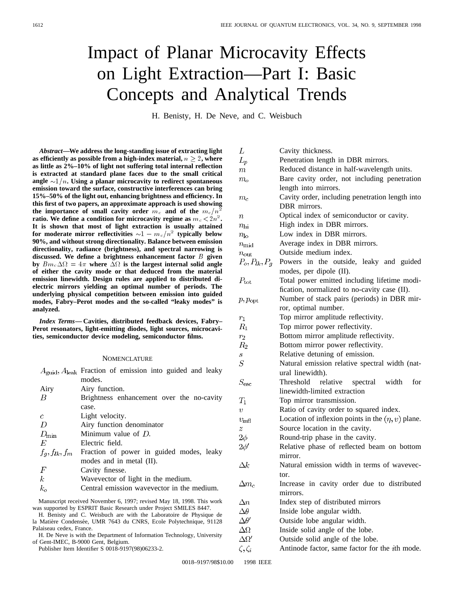# Impact of Planar Microcavity Effects on Light Extraction—Part I: Basic Concepts and Analytical Trends

H. Benisty, H. De Neve, and C. Weisbuch

*Abstract—***We address the long-standing issue of extracting light** as efficiently as possible from a high-index material,  $n \geq 2$ , where **as little as 2%–10% of light not suffering total internal reflection is extracted at standard plane faces due to the small critical** angle  $\sim 1/n$ . Using a planar microcavity to redirect spontaneous **emission toward the surface, constructive interferences can bring 15%–50% of the light out, enhancing brightness and efficiency. In this first of two papers, an approximate approach is used showing** the importance of small cavity order  $m_c$  and of the  $m_c/n^2$ **ratio.** We define a condition for microcavity regime as  $m_c < 2n^2$ . **It is shown that most of light extraction is usually attained** for moderate mirror reflectivities  $\sim 1 - m_c/n^2$  typically below **90%, and without strong directionality. Balance between emission directionality, radiance (brightness), and spectral narrowing is discussed. We define a brightness enhancement factor** B **given** by  $Bm_c\Delta\Omega = 4\pi$  where  $\overline{\Delta}\Omega$  is the largest internal solid angle **of either the cavity mode or that deduced from the material emission linewidth. Design rules are applied to distributed dielectric mirrors yielding an optimal number of periods. The underlying physical competition between emission into guided modes, Fabry–Perot modes and the so-called "leaky modes" is analyzed.**

*Index Terms—* **Cavities, distributed feedback devices, Fabry– Perot resonators, light-emitting diodes, light sources, microcavities, semiconductor device modeling, semiconductor films.**

#### **NOMENCLATURE**

|                    | $A_{\text{grid}}, A_{\text{leak}}$ Fraction of emission into guided and leaky |
|--------------------|-------------------------------------------------------------------------------|
|                    | modes.                                                                        |
| Airy               | Airy function.                                                                |
| B                  | Brightness enhancement over the no-cavity                                     |
|                    | case.                                                                         |
| C                  | Light velocity.                                                               |
| D                  | Airy function denominator                                                     |
| $D_{\min}$         | Minimum value of $D$ .                                                        |
| E                  | Electric field.                                                               |
| $f_q, f_{lk}, f_m$ | Fraction of power in guided modes, leaky                                      |
|                    | modes and in metal (II).                                                      |
| F                  | Cavity finesse.                                                               |
| k                  | Wavevector of light in the medium.                                            |
| $k_{c}$            | Central emission wavevector in the medium.                                    |

Manuscript received November 6, 1997; revised May 18, 1998. This work was supported by ESPRIT Basic Research under Project SMILES 8447.

- H. Benisty and C. Weisbuch are with the Laboratoire de Physique de la Matière Condensée, UMR 7643 du CNRS, Ecole Polytechnique, 91128 Palaiseau cedex, France.
- H. De Neve is with the Department of Information Technology, University of Gent-IMEC, B-9000 Gent, Belgium.

Publisher Item Identifier S 0018-9197(98)06233-2.

| L                   | Cavity thickness.                                      |  |  |
|---------------------|--------------------------------------------------------|--|--|
| $L_p$               | Penetration length in DBR mirrors.                     |  |  |
| $\,m$               | Reduced distance in half-wavelength units.             |  |  |
| $m_{o}$             | Bare cavity order, not including penetration           |  |  |
|                     | length into mirrors.                                   |  |  |
| $m_{c}$             | Cavity order, including penetration length into        |  |  |
|                     | DBR mirrors.                                           |  |  |
| $\, n$              | Optical index of semiconductor or cavity.              |  |  |
| $n_{\rm hi}$        | High index in DBR mirrors.                             |  |  |
| $n_{\rm lo}$        | Low index in DBR mirrors.                              |  |  |
| $n_{\rm mid}$       | Average index in DBR mirrors.                          |  |  |
| $n_{\rm out}$       | Outside medium index.                                  |  |  |
| $P_o, P_{lk}, P_g$  | Powers in the outside, leaky and guided                |  |  |
|                     | modes, per dipole (II).                                |  |  |
| $P_{\rm tot}$       | Total power emitted including lifetime modi-           |  |  |
|                     | fication, normalized to no-cavity case (II).           |  |  |
|                     | Number of stack pairs (periods) in DBR mir-            |  |  |
| $p, p_{\text{opt}}$ | ror, optimal number.                                   |  |  |
|                     | Top mirror amplitude reflectivity.                     |  |  |
| $r_1$<br>$R_{1}$    | Top mirror power reflectivity.                         |  |  |
|                     | Bottom mirror amplitude reflectivity.                  |  |  |
| $r_{\rm 2}$         |                                                        |  |  |
| $R_{\rm 2}$         | Bottom mirror power reflectivity.                      |  |  |
| S<br>$\cal S$       | Relative detuning of emission.                         |  |  |
|                     | Natural emission relative spectral width (nat-         |  |  |
|                     | ural linewidth).                                       |  |  |
| $S_{\rm esc}$       | relative spectral width<br>Threshold<br>for            |  |  |
|                     | linewidth-limited extraction                           |  |  |
| $T_1$               | Top mirror transmission.                               |  |  |
| v                   | Ratio of cavity order to squared index.                |  |  |
| $v_{\rm infl}$      | Location of inflexion points in the $(\eta, v)$ plane. |  |  |
| z                   | Source location in the cavity.                         |  |  |
| $2\phi$             | Round-trip phase in the cavity.                        |  |  |
| $2\phi'$            | Relative phase of reflected beam on bottom             |  |  |
|                     | mirror.                                                |  |  |
| $\Delta k$          | Natural emission width in terms of wavevec-            |  |  |
|                     | tor.                                                   |  |  |
| $\Delta m_c$        | Increase in cavity order due to distributed            |  |  |
|                     | mirrors.                                               |  |  |
| $\Delta n$          | Index step of distributed mirrors                      |  |  |
| $\Delta\theta$      | Inside lobe angular width.                             |  |  |
| $\Delta\theta'$     | Outside lobe angular width.                            |  |  |
| $\Delta\Omega$      | Inside solid angle of the lobe.                        |  |  |
| $\Delta\Omega'$     | Outside solid angle of the lobe.                       |  |  |
| $\zeta, \zeta_i$    | Antinode factor, same factor for the <i>i</i> th mode. |  |  |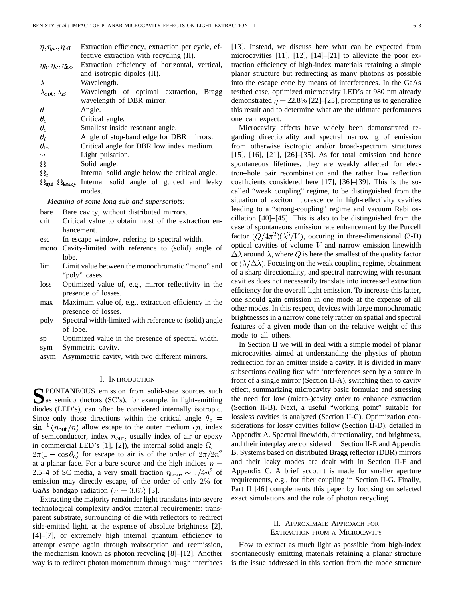| $\eta, \eta_{pc}, \eta_{\text{eff}}$ | Extraction efficiency, extraction per cycle, ef- |
|--------------------------------------|--------------------------------------------------|
|                                      | fective extraction with recycling (II).          |
| $\eta_h, \eta_v, \eta_{\rm iso}$     | Extraction efficiency of horizontal, vertical,   |
|                                      | and isotropic dipoles (II).                      |
|                                      | Wavelength.                                      |
| $\lambda_{\rm opt}, \lambda_B$       | Wavelength of optimal extraction, Bragg          |
|                                      | wavelength of DBR mirror.                        |
| Η                                    | Angle.                                           |
| $\theta_c$                           | Critical angle.                                  |
| $\theta_{o}$                         | Smallest inside resonant angle.                  |
| $\theta_l$                           | Angle of stop-band edge for DBR mirrors.         |
| $\theta_{\rm lo}$                    | Critical angle for DBR low index medium.         |
| $\omega$                             | Light pulsation.                                 |
|                                      |                                                  |

- Ω Solid angle.
- $\Omega_{c}$ Internal solid angle below the critical angle.
- $\Omega_{\text{gui}}, \Omega_{\text{leaky}}$  Internal solid angle of guided and leaky modes.

*Meaning of some long sub and superscripts:*

- bare Bare cavity, without distributed mirrors.
- crit Critical value to obtain most of the extraction enhancement.
- esc In escape window, refering to spectral width.
- mono Cavity-limited with reference to (solid) angle of lobe.
- lim Limit value between the monochromatic "mono" and "poly" cases.
- loss Optimized value of, e.g., mirror reflectivity in the presence of losses.
- max Maximum value of, e.g., extraction efficiency in the presence of losses.
- poly Spectral width-limited with reference to (solid) angle of lobe.
- sp Optimized value in the presence of spectral width.
- sym Symmetric cavity.
- asym Asymmetric cavity, with two different mirrors.

## I. INTRODUCTION

**SPONTANEOUS** emission from solid-state sources such<br>as semiconductors (SC's), for example, in light-emitting<br>diagonal state of ED's), son efter has associated internally internal diodes (LED's), can often be considered internally isotropic. Since only those directions within the critical angle  $\theta_c$  =  $\sin^{-1}(n_{\text{out}}/n)$  allow escape to the outer medium  $(n, \text{ index})$ of semiconductor, index  $n_{\text{out}}$ , usually index of air or epoxy in commercial LED's [1], [2]), the internal solid angle  $\Omega_c =$  $2\pi(1-\cos\theta_c)$  for escape to air is of the order of  $2\pi/2n^2$ at a planar face. For a bare source and the high indices  $n =$ 2.5–4 of SC media, a very small fraction  $\eta_{\text{bare}} \sim 1/4n^2$  of emission may directly escape, of the order of only 2% for GaAs bandgap radiation  $(n = 3.65)$  [3].

Extracting the majority remainder light translates into severe technological complexity and/or material requirements: transparent substrate, surrounding of die with reflectors to redirect side-emitted light, at the expense of absolute brightness [2], [4]–[7], or extremely high internal quantum efficiency to attempt escape again through reabsorption and reemission, the mechanism known as photon recycling [8]–[12]. Another way is to redirect photon momentum through rough interfaces [13]. Instead, we discuss here what can be expected from microcavities [11], [12], [14]–[21] to alleviate the poor extraction efficiency of high-index materials retaining a simple planar structure but redirecting as many photons as possible into the escape cone by means of interferences. In the GaAs testbed case, optimized microcavity LED's at 980 nm already demonstrated  $\eta = 22.8\%$  [22]–[25], prompting us to generalize this result and to determine what are the ultimate perfomances one can expect.

Microcavity effects have widely been demonstrated regarding directionality and spectral narrowing of emission from otherwise isotropic and/or broad-spectrum structures [15], [16], [21], [26]–[35]. As for total emission and hence spontaneous lifetimes, they are weakly affected for electron–hole pair recombination and the rather low reflection coefficients considered here [17], [36]–[39]. This is the socalled "weak coupling" regime, to be distinguished from the situation of exciton fluorescence in high-reflectivity cavities leading to a "strong-coupling" regime and vacuum Rabi oscillation [40]–[45]. This is also to be distinguished from the case of spontaneous emission rate enhancement by the Purcell factor  $(Q/4\pi^2)(\lambda^3/V)$ , occuring in three-dimensional (3-D) optical cavities of volume  $V$  and narrow emission linewidth  $\Delta\lambda$  around  $\lambda$ , where Q is here the smallest of the quality factor or  $(\lambda/\Delta\lambda)$ . Focusing on the weak coupling regime, obtainment of a sharp directionality, and spectral narrowing with resonant cavities does not necessarily translate into increased extraction efficiency for the overall light emission. To increase this latter, one should gain emission in one mode at the expense of all other modes. In this respect, devices with large monochromatic brightnesses in a narrow cone rely rather on spatial and spectral features of a given mode than on the relative weight of this mode to all others.

In Section II we will in deal with a simple model of planar microcavities aimed at understanding the physics of photon redirection for an emitter inside a cavity. It is divided in many subsections dealing first with interferences seen by a source in front of a single mirror (Section II-A), switching then to cavity effect, summarizing microcavity basic formulae and stressing the need for low (micro-)cavity order to enhance extraction (Section II-B). Next, a useful "working point" suitable for lossless cavities is analyzed (Section II-C). Optimization considerations for lossy cavities follow (Section II-D), detailed in Appendix A. Spectral linewidth, directionality, and brightness, and their interplay are considered in Section II-E and Appendix B. Systems based on distributed Bragg reflector (DBR) mirrors and their leaky modes are dealt with in Section II-F and Appendix C. A brief account is made for smaller aperture requirements, e.g., for fiber coupling in Section II-G. Finally, Part II [46] complements this paper by focusing on selected exact simulations and the role of photon recycling.

## II. APPROXIMATE APPROACH FOR EXTRACTION FROM A MICROCAVITY

How to extract as much light as possible from high-index spontaneously emitting materials retaining a planar structure is the issue addressed in this section from the mode structure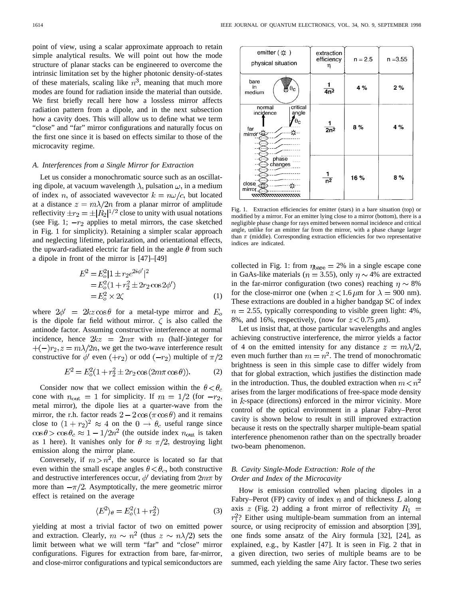point of view, using a scalar approximate approach to retain simple analytical results. We will point out how the mode structure of planar stacks can be engineered to overcome the intrinsic limitation set by the higher photonic density-of-states of these materials, scaling like  $n^3$ , meaning that much more modes are found for radiation inside the material than outside. We first briefly recall here how a lossless mirror affects radiation pattern from a dipole, and in the next subsection how a cavity does. This will allow us to define what we term "close" and "far" mirror configurations and naturally focus on the first one since it is based on effects similar to those of the microcavity regime.

## *A. Interferences from a Single Mirror for Extraction*

Let us consider a monochromatic source such as an oscillating dipole, at vacuum wavelength  $\lambda$ , pulsation  $\omega$ , in a medium of index n, of associated wavevector  $k = n\omega/c$ , but located at a distance  $z = m\lambda/2n$  from a planar mirror of amplitude reflectivity  $\pm r_2 = \pm |R_2|^{1/2}$  close to unity with usual notations (see Fig. 1;  $-r_2$  applies to metal mirrors, the case sketched in Fig. 1 for simplicity). Retaining a simpler scalar approach and neglecting lifetime, polarization, and orientational effects, the upward-radiated electric far field in the angle  $\theta$  from such a dipole in front of the mirror is [47]–[49]

$$
E^{2} = E_{o}^{2} |1 \pm r_{2} e^{2i\phi'}|^{2}
$$
  
=  $E_{o}^{2} (1 + r_{2}^{2} \pm 2r_{2} \cos 2\phi')$   
=  $E_{o}^{2} \times 2\zeta$  (1)

where  $2\phi' = 2kz\cos\theta$  for a metal-type mirror and  $E_o$ is the dipole far field without mirror.  $\zeta$  is also called the antinode factor. Assuming constructive interference at normal incidence, hence  $2kz = 2m\pi$  with m (half-)integer for  $+(-)r_2$ ,  $z = m\lambda/2n$ , we get the two-wave interference result constructive for  $\phi'$  even  $(+r_2)$  or odd  $(-r_2)$  multiple of  $\pi/2$ 

$$
E^2 = E_o^2(1 + r_2^2 \pm 2r_2 \cos(2m\pi \cos \theta)).
$$
 (2)

Consider now that we collect emission within the  $\theta < \theta_c$ cone with  $n_{\text{out}} = 1$  for simplicity. If  $m = 1/2$  (for  $-r_2$ , metal mirror), the dipole lies at a quarter-wave from the mirror, the r.h. factor reads  $2 - 2\cos(\pi \cos \theta)$  and it remains close to  $(1 + r_2)^2 \approx 4$  on the  $0 \rightarrow \theta_c$  useful range since  $\cos \theta > \cos \theta_c \approx 1 - 1/2n^2$  (the outside index  $n_{\text{out}}$  is taken as 1 here). It vanishes only for  $\theta \approx \pi/2$ , destroying light emission along the mirror plane.

Conversely, if  $m > n^2$ , the source is located so far that even within the small escape angles  $\theta < \theta_c$ , both constructive and destructive interferences occur,  $\phi'$  deviating from  $2m\pi$  by more than  $-\pi/2$ . Asymptotically, the mere geometric mirror effect is retained on the average

$$
\langle E^2 \rangle_{\theta} = E_o^2 (1 + r_2^2) \tag{3}
$$

yielding at most a trivial factor of two on emitted power and extraction. Clearly,  $m \sim n^2$  (thus  $z \sim n\lambda/2$ ) sets the limit between what we will term "far" and "close" mirror configurations. Figures for extraction from bare, far-mirror, and close-mirror configurations and typical semiconductors are



Fig. 1. Extraction efficiencies for emitter (stars) in a bare situation (top) or modified by a mirror. For an emitter lying close to a mirror (bottom), there is a negligible phase change for rays emitted between normal incidence and critical angle, unlike for an emitter far from the mirror, with a phase change larger than  $\pi$  (middle). Corresponding extraction efficiencies for two representative indices are indicated.

collected in Fig. 1: from  $\eta_{bare} = 2\%$  in a single escape cone in GaAs-like materials ( $n = 3.55$ ), only  $\eta \sim 4\%$  are extracted in the far-mirror configuration (two cones) reaching  $\eta \sim 8\%$ for the close-mirror one (when  $z < 1.6 \mu m$  for  $\lambda = 900 \text{ nm}$ ). These extractions are doubled in a higher bandgap SC of index  $n = 2.55$ , typically corresponding to visible green light: 4%, 8%, and 16%, respectively, (now for  $z < 0.75 \,\mu\text{m}$ ).

Let us insist that, at those particular wavelengths and angles achieving constructive interference, the mirror yields a factor of 4 on the emitted intensity for any distance  $z = m\lambda/2$ , even much further than  $m = n^2$ . The trend of monochromatic brightness is seen in this simple case to differ widely from that for global extraction, which justifies the distinction made in the introduction. Thus, the doubled extraction when  $m < n^2$ arises from the larger modifications of free-space mode density in  $k$ -space (directions) enforced in the mirror vicinity. More control of the optical environment in a planar Fabry–Perot cavity is shown below to result in still improved extraction because it rests on the spectrally sharper multiple-beam spatial interference phenomenon rather than on the spectrally broader two-beam phenomenon.

# *B. Cavity Single-Mode Extraction: Role of the Order and Index of the Microcavity*

How is emission controlled when placing dipoles in a Fabry–Perot (FP) cavity of index  $n$  and of thickness  $L$  along axis  $z$  (Fig. 2) adding a front mirror of reflectivity  $R_1 =$  $r_1^2$ ? Either using multiple-beam summation from an internal source, or using reciprocity of emission and absorption [39], one finds some ansatz of the Airy formula [32], [24], as explained, e.g., by Kastler [47]. It is seen in Fig. 2 that in a given direction, two series of multiple beams are to be summed, each yielding the same Airy factor. These two series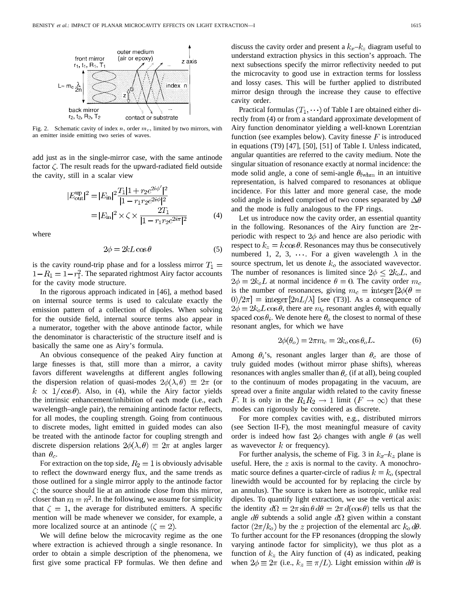

Fig. 2. Schematic cavity of index  $n$ , order  $m<sub>c</sub>$ , limited by two mirrors, with an emitter inside emitting two series of waves.

add just as in the single-mirror case, with the same antinode factor  $\zeta$ . The result reads for the upward-radiated field outside the cavity, still in a scalar view

$$
|E_{\text{out}}^{\text{up}}|^2 = |E_{\text{in}}|^2 \frac{T_1 |1 + r_2 e^{2i\phi'}|^2}{|1 - r_1 r_2 e^{2i\phi}|^2}
$$
  
=  $|E_{\text{in}}|^2 \times \zeta \times \frac{2T_1}{|1 - r_1 r_2 e^{2i\pi}|^2}$  (4)

where

$$
2\phi = 2kL\cos\theta\tag{5}
$$

is the cavity round-trip phase and for a lossless mirror  $T_1 =$  $1 - R_1 = 1 - r_1^2$ . The separated rightmost Airy factor accounts for the cavity mode structure.

In the rigorous approach indicated in [46], a method based on internal source terms is used to calculate exactly the emission pattern of a collection of dipoles. When solving for the outside field, internal source terms also appear in a numerator, together with the above antinode factor, while the denominator is characteristic of the structure itself and is basically the same one as Airy's formula.

An obvious consequence of the peaked Airy function at large finesses is that, still more than a mirror, a cavity favors different wavelengths at different angles following the dispersion relation of quasi-modes  $2\phi(\lambda,\theta) \equiv 2\pi$  (or  $k \propto 1/\cos\theta$ . Also, in (4), while the Airy factor yields the intrinsic enhancement/inhibition of each mode (i.e., each wavelength–angle pair), the remaining antinode factor reflects, for all modes, the coupling strength. Going from continuous to discrete modes, light emitted in guided modes can also be treated with the antinode factor for coupling strength and discrete dispersion relations  $2\phi(\lambda,\theta) \equiv 2\pi$  at angles larger than  $\theta_c$ .

For extraction on the top side,  $R_2 = 1$  is obviously advisable to reflect the downward energy flux, and the same trends as those outlined for a single mirror apply to the antinode factor  $\zeta$ : the source should lie at an antinode close from this mirror, closer than  $m = n^2$ . In the following, we assume for simplicity that  $\zeta = 1$ , the average for distributed emitters. A specific mention will be made whenever we consider, for example, a more localized source at an antinode  $(\zeta = 2)$ .

We will define below the microcavity regime as the one where extraction is achieved through a single resonance. In order to obtain a simple description of the phenomena, we first give some practical FP formulas. We then define and discuss the cavity order and present a  $k_x-k_z$  diagram useful to understand extraction physics in this section's approach. The next subsections specify the mirror reflectivity needed to put the microcavity to good use in extraction terms for lossless and lossy cases. This will be further applied to distributed mirror design through the increase they cause to effective cavity order.

Practical formulas  $(T_1, \dots)$  of Table I are obtained either directly from (4) or from a standard approximate development of Airy function denominator yielding a well-known Lorentzian function (see examples below). Cavity finesse  $F$  is introduced in equations (T9) [47], [50], [51] of Table I. Unless indicated, angular quantities are referred to the cavity medium. Note the singular situation of resonance exactly at normal incidence: the mode solid angle, a cone of semi-angle  $\theta_{\text{fwhm}}$  in an intuitive representation, is halved compared to resonances at oblique incidence. For this latter and more general case, the mode solid angle is indeed comprised of two cones separated by  $\Delta\theta$ and the mode is fully analogous to the FP rings.

Let us introduce now the cavity order, an essential quantity in the following. Resonances of the Airy function are  $2\pi$ periodic with respect to  $2\phi$  and hence are also periodic with respect to  $k_z = k \cos \theta$ . Resonances may thus be consecutively numbered 1, 2, 3,  $\cdots$ . For a given wavelength  $\lambda$  in the source spectrum, let us denote  $k_0$  the associated wavevector. The number of resonances is limited since  $2\phi \leq 2k_oL$ , and  $2\phi = 2k_o L$  at normal incidence  $\theta = 0$ . The cavity order  $m_c$ is the number of resonances, giving  $m_c = \text{integer} \left[ 2\phi(\theta = \theta) \right]$  $[0]/2\pi$ ] = integer  $[2nL/\lambda]$  [see (T3)]. As a consequence of  $2\phi = 2k_o L \cos \theta$ , there are  $m_c$  resonant angles  $\theta_i$  with equally spaced  $\cos \theta_i$ . We denote here  $\theta_o$  the closest to normal of these resonant angles, for which we have

$$
2\phi(\theta_o) = 2\pi m_c = 2k_o \cos \theta_o L. \tag{6}
$$

Among  $\theta_i$ 's, resonant angles larger than  $\theta_c$  are those of truly guided modes (without mirror phase shifts), whereas resonances with angles smaller than  $\theta_c$  (if at all), being coupled to the continuum of modes propagating in the vacuum, are spread over a finite angular width related to the cavity finesse F. It is only in the  $R_1R_2 \to 1$  limit  $(F \to \infty)$  that these modes can rigorously be considered as discrete.

For more complex cavities with, e.g., distributed mirrors (see Section II-F), the most meaningful measure of cavity order is indeed how fast  $2\phi$  changes with angle  $\theta$  (as well as wavevector  $k$  or frequency).

For further analysis, the scheme of Fig. 3 in  $k_x-k_z$  plane is useful. Here, the  $z$  axis is normal to the cavity. A monochromatic source defines a quarter-circle of radius  $k = k_o$  (spectral linewidth would be accounted for by replacing the circle by an annulus). The source is taken here as isotropic, unlike real dipoles. To quantify light extraction, we use the vertical axis: the identity  $d\Omega = 2\pi \sin \theta d\theta = 2\pi d(\cos \theta)$  tells us that the angle  $d\theta$  subtends a solid angle  $d\Omega$  given within a constant factor  $(2\pi/k_o)$  by the z projection of the elemental arc  $k_o d\theta$ . To further account for the FP resonances (dropping the slowly varying antinode factor for simplicity), we thus plot as a function of  $k_z$  the Airy function of (4) as indicated, peaking when  $2\phi \equiv 2\pi$  (i.e.,  $k_z \equiv \pi/L$ ). Light emission within  $d\theta$  is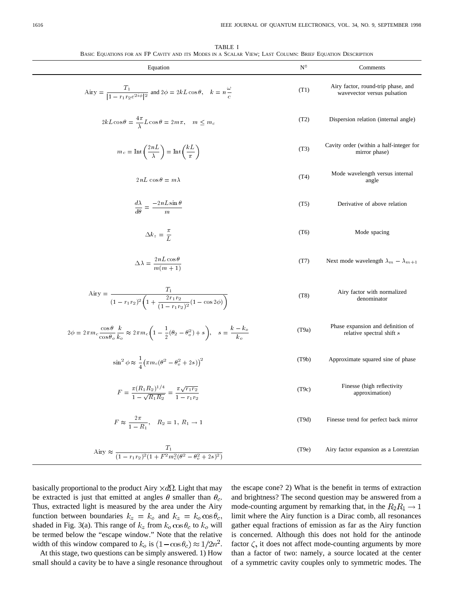TABLE I BASIC EQUATIONS FOR AN FP CAVITY AND ITS MODES IN A SCALAR VIEW; LAST COLUMN: BRIEF EQUATION DESCRIPTION

| Equation                                                                                                                                                                 | $N^{\circ}$ | Comments                                                          |
|--------------------------------------------------------------------------------------------------------------------------------------------------------------------------|-------------|-------------------------------------------------------------------|
| Airy $=\frac{T_1}{ 1-r_1r_2e^{2i\phi} ^2}$ and $2\phi = 2kL\cos\theta$ , $k = n\frac{\omega}{c}$                                                                         | (T1)        | Airy factor, round-trip phase, and<br>wavevector versus pulsation |
| $2kL\cos\theta = \frac{4\pi}{\lambda}L\cos\theta = 2m\pi, \quad m \leq m_c$                                                                                              | (T2)        | Dispersion relation (internal angle)                              |
| $m_c = \text{Int}\left(\frac{2nL}{\lambda}\right) = \text{Int}\left(\frac{kL}{\pi}\right)$                                                                               | (T3)        | Cavity order (within a half-integer for<br>mirror phase)          |
| $2nL\cos\theta = m\lambda$                                                                                                                                               | (T4)        | Mode wavelength versus internal<br>angle                          |
| $\frac{d\lambda}{d\theta} = \frac{-2nL\sin\theta}{m}$                                                                                                                    | (T5)        | Derivative of above relation                                      |
| $\Delta k_z = \frac{\pi}{I}$                                                                                                                                             | (T6)        | Mode spacing                                                      |
| $\Delta \lambda = \frac{2nL\cos\theta}{m(m+1)}$                                                                                                                          | (T7)        | Next mode wavelength $\lambda_m - \lambda_{m+1}$                  |
| Airy = $\frac{T_1}{(1 - r_1 r_2)^2 \left(1 + \frac{2r_1 r_2}{(1 - r_1 r_2)^2 (1 - \cos 2\phi)}\right)}$                                                                  | (T8)        | Airy factor with normalized<br>denominator                        |
| $2\phi = 2\pi m_c \frac{\cos\theta}{\cos\theta_0} \frac{k}{k_c} \approx 2\pi m_c \left(1 - \frac{1}{2}(\theta_2 - \theta_o^2) + s\right), \quad s = \frac{k - k_o}{k_o}$ | (T9a)       | Phase expansion and definition of<br>relative spectral shift s    |
| $\sin^2 \phi \approx \frac{1}{4} (\pi m_c (\theta^2 - \theta_o^2 + 2 s))^2$                                                                                              | (T9b)       | Approximate squared sine of phase                                 |
| $F = \frac{\pi (R_1 R_2)^{1/4}}{1 - \sqrt{R_1 R_2}} = \frac{\pi \sqrt{r_1 r_2}}{1 - r_1 r_2}$                                                                            | (T9c)       | Finesse (high reflectivity<br>approximation)                      |
| $F \approx \frac{2\pi}{1 - R_1}$ , $R_2 = 1$ , $R_1 \rightarrow 1$                                                                                                       | (T9d)       | Finesse trend for perfect back mirror                             |
| Airy $\approx \frac{T_1}{(1 - r_1 r_2)^2 (1 + F^2 m_c^2 (\theta^2 - \theta_o^2 + 2s)^2)}$                                                                                | (T9e)       | Airy factor expansion as a Lorentzian                             |

basically proportional to the product Airy  $\times d\Omega$ . Light that may be extracted is just that emitted at angles  $\theta$  smaller than  $\theta_c$ . Thus, extracted light is measured by the area under the Airy function between boundaries  $k_z = k_o$  and  $k_z = k_o \cos \theta_c$ , shaded in Fig. 3(a). This range of  $k_z$  from  $k_o \cos \theta_c$  to  $k_o$  will be termed below the "escape window." Note that the relative width of this window compared to  $k_o$  is  $(1 - \cos \theta_c) \approx 1/2n^2$ .

At this stage, two questions can be simply answered. 1) How small should a cavity be to have a single resonance throughout

the escape cone? 2) What is the benefit in terms of extraction and brightness? The second question may be answered from a mode-counting argument by remarking that, in the  $R_2R_1 \rightarrow 1$ limit where the Airy function is a Dirac comb, all resonances gather equal fractions of emission as far as the Airy function is concerned. Although this does not hold for the antinode factor  $\zeta$ , it does not affect mode-counting arguments by more than a factor of two: namely, a source located at the center of a symmetric cavity couples only to symmetric modes. The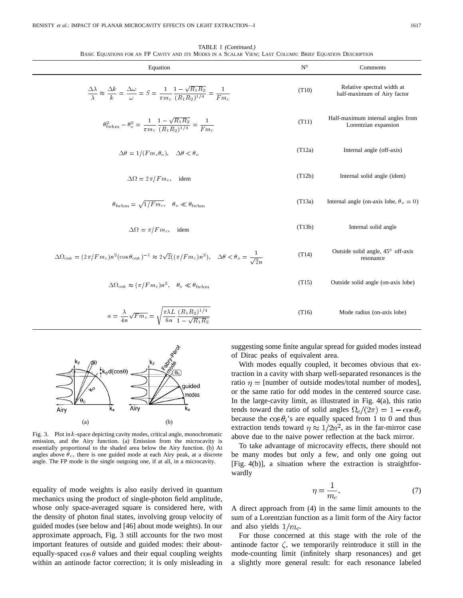| BASIC EQUATIONS FOR AN FP CAVITY AND ITS MODES IN A SCALAR VIEW; LAST COLUMN: BRIEF EQUATION DESCRIPTION                                                                      |             |                                                           |  |  |
|-------------------------------------------------------------------------------------------------------------------------------------------------------------------------------|-------------|-----------------------------------------------------------|--|--|
| Equation                                                                                                                                                                      | $N^{\circ}$ | Comments                                                  |  |  |
| $\frac{\Delta\lambda}{\lambda} \approx \frac{\Delta k}{k} = \frac{\Delta\omega}{\omega} = S = \frac{1}{\pi m_c} \frac{1 - \sqrt{R_1 R_2}}{(R_1 R_2)^{1/4}} = \frac{1}{F m_c}$ | (T10)       | Relative spectral width at<br>half-maximum of Airy factor |  |  |
| $\theta_{\rm fwhm}^2 - \theta_o^2 = \frac{1}{\pi m_c} \frac{1 - \sqrt{R_1 R_2}}{(R_1 R_2)^{1/4}} = \frac{1}{F m_c}$                                                           | (T11)       | Half-maximum internal angles from<br>Lorentzian expansion |  |  |
| $\Delta \theta = 1/(F m_c \theta_o), \quad \Delta \theta < \theta_o$                                                                                                          | (T12a)      | Internal angle (off-axis)                                 |  |  |
| $\Delta \Omega = 2\pi/Fm_c$ , idem                                                                                                                                            | (T12b)      | Internal solid angle (idem)                               |  |  |
| $\theta_{\rm fwhm} = \sqrt{1/Fm_c}, \quad \theta_o \ll \theta_{\rm fwhm}$                                                                                                     | (T13a)      | Internal angle (on-axis lobe, $\theta_o = 0$ )            |  |  |
| $\Delta \Omega = \pi / F m_c$ , idem                                                                                                                                          | (T13b)      | Internal solid angle                                      |  |  |
| $\Delta\Omega_{\text{out}} = (2\pi/Fm_c)n^2(\cos\theta_{\text{out}})^{-1} \approx 2\sqrt{2}((\pi/Fm_c)n^2), \quad \Delta\theta < \theta_o = \frac{1}{\sqrt{2}n}$              | (T14)       | Outside solid angle, 45° off-axis<br>resonance            |  |  |
| $\Delta \Omega_{\rm out} \approx (\pi/Fm_c)n^2$ , $\theta_o \ll \theta_{\rm fwhm}$                                                                                            | (T15)       | Outside solid angle (on-axis lobe)                        |  |  |
| $a = \frac{\lambda}{4n} \sqrt{Fm_c} = \sqrt{\frac{\pi \lambda L}{8n}} \frac{(R_1 R_2)^{1/4}}{1 - \sqrt{R_1 R_2}}$                                                             | (T16)       | Mode radius (on-axis lobe)                                |  |  |

TABLE I *(Continued.)*



bebiur modes

 $od(cos\theta)$ 

equality of mode weights is also easily derived in quantum mechanics using the product of single-photon field amplitude, whose only space-averaged square is considered here, with the density of photon final states, involving group velocity of guided modes (see below and [46] about mode weights). In our approximate approach, Fig. 3 still accounts for the two most important features of outside and guided modes: their aboutequally-spaced  $\cos \theta$  values and their equal coupling weights within an antinode factor correction; it is only misleading in

suggesting some finite angular spread for guided modes instead of Dirac peaks of equivalent area.

With modes equally coupled, it becomes obvious that extraction in a cavity with sharp well-separated resonances is the ratio  $\eta$  = [number of outside modes/total number of modes], or the same ratio for odd modes in the centered source case. In the large-cavity limit, as illustrated in Fig. 4(a), this ratio tends toward the ratio of solid angles  $\Omega_c/(2\pi) = 1 - \cos\theta_c$ because the  $\cos \theta_i$ 's are equally spaced from 1 to 0 and thus extraction tends toward  $\eta \approx 1/2n^2$ , as in the far-mirror case above due to the naive power reflection at the back mirror.

To take advantage of microcavity effects, there should not be many modes but only a few, and only one going out [Fig. 4(b)], a situation where the extraction is straightforwardly

$$
\eta = \frac{1}{m_c}.\tag{7}
$$

A direct approach from (4) in the same limit amounts to the sum of a Lorentzian function as a limit form of the Airy factor and also yields  $1/m_c$ .

For those concerned at this stage with the role of the antinode factor  $\zeta$ , we temporarily reintroduce it still in the mode-counting limit (infinitely sharp resonances) and get a slightly more general result: for each resonance labeled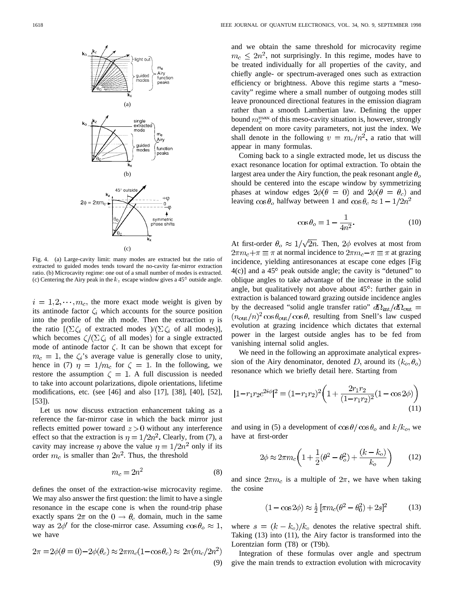

Fig. 4. (a) Large-cavity limit: many modes are extracted but the ratio of extracted to guided modes tends toward the no-cavity far-mirror extraction ratio. (b) Microcavity regime: one out of a small number of modes is extracted. (c) Centering the Airy peak in the  $k_z$  escape window gives a 45<sup>o</sup> outside angle.

 $i = 1, 2, \dots, m_c$ , the more exact mode weight is given by its antinode factor  $\zeta_i$  which accounts for the source position into the profile of the *i*th mode. Then the extraction  $\eta$  is the ratio  $[(\sum \zeta_i \text{ of extracted modes})/(\sum \zeta_i \text{ of all modes})]$ , which becomes  $\zeta/(\Sigma \zeta_i)$  of all modes) for a single extracted mode of antinode factor  $\zeta$ . It can be shown that except for  $m_c = 1$ , the  $\zeta_i$ 's average value is generally close to unity, hence in (7)  $\eta = 1/m_c$  for  $\zeta = 1$ . In the following, we restore the assumption  $\zeta = 1$ . A full discussion is needed to take into account polarizations, dipole orientations, lifetime modifications, etc. (see [46] and also [17], [38], [40], [52], [53]).

Let us now discuss extraction enhancement taking as a reference the far-mirror case in which the back mirror just reflects emitted power toward  $z > 0$  without any interference effect so that the extraction is  $\eta = 1/2n^2$ . Clearly, from (7), a cavity may increase  $\eta$  above the value  $\eta = 1/2n^2$  only if its order  $m_c$  is smaller than  $2n^2$ . Thus, the threshold

$$
m_c = 2n^2 \tag{8}
$$

defines the onset of the extraction-wise microcavity regime. We may also answer the first question: the limit to have a single resonance in the escape cone is when the round-trip phase exactly spans  $2\pi$  on the  $0 \rightarrow \theta_c$  domain, much in the same way as  $2\phi'$  for the close-mirror case. Assuming  $\cos\theta_o \approx 1$ , we have

$$
2\pi = 2\phi(\theta = 0) - 2\phi(\theta_c) \approx 2\pi m_c (1 - \cos \theta_c) \approx 2\pi (m_c/2n^2)
$$
\n(9)

and we obtain the same threshold for microcavity regime  $m_c \leq 2n^2$ , not surprisingly. In this regime, modes have to be treated individually for all properties of the cavity, and chiefly angle- or spectrum-averaged ones such as extraction efficiency or brightness. Above this regime starts a "mesocavity" regime where a small number of outgoing modes still leave pronounced directional features in the emission diagram rather than a smooth Lambertian law. Defining the upper bound  $m_c^{\text{max}}$  of this meso-cavity situation is, however, strongly dependent on more cavity parameters, not just the index. We shall denote in the following  $v = m_c/n^2$ , a ratio that will appear in many formulas.

Coming back to a single extracted mode, let us discuss the exact resonance location for optimal extraction. To obtain the largest area under the Airy function, the peak resonant angle  $\theta_{o}$ should be centered into the escape window by symmetrizing phases at window edges  $2\phi(\theta = 0)$  and  $2\phi(\theta = \theta_c)$  and leaving  $\cos \theta_o$  halfway between 1 and  $\cos \theta_c \approx 1 - 1/2n^2$ 

$$
\cos \theta_o = 1 - \frac{1}{4n^2}.\tag{10}
$$

At first-order  $\theta_o \approx 1/\sqrt{2n}$ . Then,  $2\phi$  evolves at most from  $2\pi m_c + \pi \equiv \pi$  at normal incidence to  $2\pi m_c - \pi \equiv \pi$  at grazing incidence, yielding antiresonances at escape cone edges [Fig  $4(c)$ ] and a 45 $\degree$  peak outside angle; the cavity is "detuned" to oblique angles to take advantage of the increase in the solid angle, but qualitatively not above about  $45^\circ$ : further gain in extraction is balanced toward grazing outside incidence angles by the decreased "solid angle transfer ratio"  $d\Omega_{\rm int}/d\Omega_{\rm out} =$  $(n_{\text{out}}/n)^2 \cos \theta_{\text{out}}/\cos \theta$ , resulting from Snell's law cusped evolution at grazing incidence which dictates that external power in the largest outside angles has to be fed from vanishing internal solid angles.

We need in the following an approximate analytical expression of the Airy denominator, denoted D, around its  $(k_o, \theta_o)$ resonance which we briefly detail here. Starting from

$$
|1 - r_1 r_2 e^{2i\phi}|^2 = (1 - r_1 r_2)^2 \left(1 + \frac{2r_1 r_2}{(1 - r_1 r_2)^2} (1 - \cos 2\phi)\right)
$$
\n(11)

and using in (5) a development of  $\cos\theta/\cos\theta_o$  and  $k/k_o$ , we have at first-order

$$
2\phi \approx 2\pi m_c \left( 1 + \frac{1}{2} (\theta^2 - \theta_o^2) + \frac{(k - k_o)}{k_o} \right) \tag{12}
$$

and since  $2\pi m_c$  is a multiple of  $2\pi$ , we have when taking the cosine

$$
(1 - \cos 2\phi) \approx \frac{1}{2} \left[ \pi m_c (\theta^2 - \theta_0^2) + 2s \right]^2 \tag{13}
$$

where  $s = (k - k_o)/k_o$  denotes the relative spectral shift. Taking (13) into (11), the Airy factor is transformed into the Lorentzian form (T8) or (T9b).

Integration of these formulas over angle and spectrum give the main trends to extraction evolution with microcavity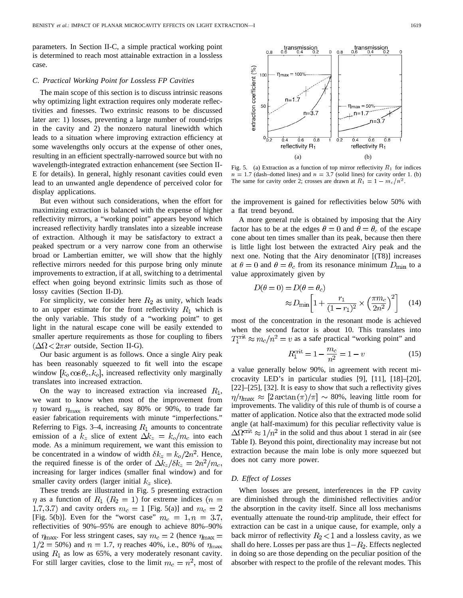parameters. In Section II-C, a simple practical working point is determined to reach most attainable extraction in a lossless case.

## *C. Practical Working Point for Lossless FP Cavities*

The main scope of this section is to discuss intrinsic reasons why optimizing light extraction requires only moderate reflectivities and finesses. Two extrinsic reasons to be discussed later are: 1) losses, preventing a large number of round-trips in the cavity and 2) the nonzero natural linewidth which leads to a situation where improving extraction efficiency at some wavelengths only occurs at the expense of other ones, resulting in an efficient spectrally-narrowed source but with no wavelength-integrated extraction enhancement (see Section II-E for details). In general, highly resonant cavities could even lead to an unwanted angle dependence of perceived color for display applications.

But even without such considerations, when the effort for maximizing extraction is balanced with the expense of higher reflectivity mirrors, a "working point" appears beyond which increased reflectivity hardly translates into a sizeable increase of extraction. Although it may be satisfactory to extract a peaked spectrum or a very narrow cone from an otherwise broad or Lambertian emitter, we will show that the highly reflective mirrors needed for this purpose bring only minute improvements to extraction, if at all, switching to a detrimental effect when going beyond extrinsic limits such as those of lossy cavities (Section II-D).

For simplicity, we consider here  $R_2$  as unity, which leads to an upper estimate for the front reflectivity  $R_1$  which is the only variable. This study of a "working point" to get light in the natural escape cone will be easily extended to smaller aperture requirements as those for coupling to fibers  $(\Delta \Omega < 2\pi s r$  outside, Section II-G).

Our basic argument is as follows. Once a single Airy peak has been reasonably squeezed to fit well into the escape window  $[k_0 \cos \theta_c, k_0]$ , increased reflectivity only marginally translates into increased extraction.

On the way to increased extraction via increased  $R_1$ , we want to know when most of the improvement from  $\eta$  toward  $\eta_{\text{max}}$  is reached, say 80% or 90%, to trade far easier fabrication requirements with minute "imperfections." Referring to Figs. 3–4, increasing  $R_1$  amounts to concentrate emission of a  $k_z$  slice of extent  $\Delta k_z = k_o/m_c$  into each mode. As a minimum requirement, we want this emission to be concentrated in a window of width  $\delta k_z = k_o/2n^2$ . Hence, the required finesse is of the order of  $\Delta k_z/\delta k_z = 2n^2/m_c$ , increasing for larger indices (smaller final window) and for smaller cavity orders (larger initial  $k_z$  slice).

These trends are illustrated in Fig. 5 presenting extraction  $\eta$  as a function of  $R_1$  ( $R_2 = 1$ ) for extreme indices ( $n =$ 1.7, 3.7) and cavity orders  $m_c = 1$  [Fig. 5(a)] and  $m_c = 2$ [Fig. 5(b)]. Even for the "worst case"  $m_c = 1, n = 3.7$ , reflectivities of 90%–95% are enough to achieve 80%–90% of  $\eta_{\text{max}}$ . For less stringent cases, say  $m_c = 2$  (hence  $\eta_{\text{max}} =$  $1/2 = 50\%$ ) and  $n = 1.7$ ,  $\eta$  reaches 40%, i.e., 80% of  $\eta_{\text{max}}$ using  $R_1$  as low as 65%, a very moderately resonant cavity. For still larger cavities, close to the limit  $m_c = n^2$ , most of



Fig. 5. (a) Extraction as a function of top mirror reflectivity  $R_1$  for indices  $n = 1.7$  (dash–dotted lines) and  $n = 3.7$  (solid lines) for cavity order 1. (b)<br>The same for cavity order 2; crosses are drawn at  $R_1 = 1 - m_c/n^2$ . Fig. 5. (a) Extraction as a function of top mirror reflectivity  $R_1$  for  $n = 1.7$  (dash-dotted lines) and  $n = 3.7$  (solid lines) for cavity order The same for cavity order 2; crosses are drawn at  $R_1 = 1 - m_c/n^2$ .

the improvement is gained for reflectivities below 50% with a flat trend beyond.

A more general rule is obtained by imposing that the Airy factor has to be at the edges  $\theta = 0$  and  $\theta = \theta_c$  of the escape cone about ten times smaller than its peak, because then there is little light lost between the extracted Airy peak and the next one. Noting that the Airy denominator [(T8)] increases at  $\theta = 0$  and  $\theta = \theta_c$  from its resonance minimum  $D_{\text{min}}$  to a value approximately given by

$$
D(\theta = 0) = D(\theta = \theta_c)
$$
  
 
$$
\approx D_{\min} \left[ 1 + \frac{r_1}{(1 - r_1)^2} \times \left( \frac{\pi m_c}{2n^2} \right)^2 \right] \quad (14)
$$

most of the concentration in the resonant mode is achieved when the second factor is about 10. This translates into  $T_1^{\text{crit}} \approx m_c/n^2 = v$  as a safe practical "working point" and

$$
R_1^{\text{crit}} = 1 - \frac{m_c}{n^2} = 1 - v \tag{15}
$$

a value generally below 90%, in agreement with recent microcavity LED's in particular studies [9], [11], [18]–[20], [22]–[25], [32]. It is easy to show that such a reflectivity gives  $\eta/\eta_{\rm max} \approx [2 \arctan(\pi)/\pi] \sim 80\%$ , leaving little room for improvements. The validity of this rule of thumb is of course a matter of application. Notice also that the extracted mode solid angle (at half-maximum) for this peculiar reflectivity value is  $\Delta \Omega^{\text{crit}} \approx 1/n^2$  in the solid and thus about 1 sterad in air (see Table I). Beyond this point, directionality may increase but not extraction because the main lobe is only more squeezed but does not carry more power.

# *D. Effect of Losses*

When losses are present, interferences in the FP cavity are diminished through the diminished reflectivities and/or the absorption in the cavity itself. Since all loss mechanisms eventually attenuate the round-trip amplitude, their effect for extraction can be cast in a unique cause, for example, only a back mirror of reflectivity  $R_2$  < 1 and a lossless cavity, as we shall do here. Losses per pass are thus  $1 - R_2$ . Effects neglected in doing so are those depending on the peculiar position of the absorber with respect to the profile of the relevant modes. This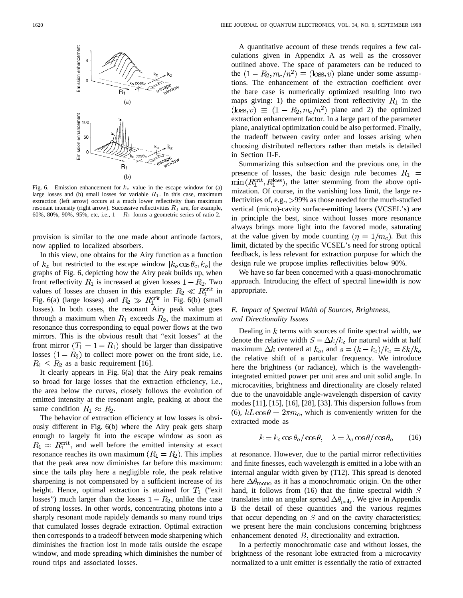

Fig. 6. Emission enhancement for  $k_z$  value in the escape window for (a) large losses and (b) small losses for variable  $R_1$ . In this case, maximum extraction (left arrow) occurs at a much lower reflectivity than maximum resonant intensity (right arrow). Successive reflectivities  $R_1$  are, for example, 60%, 80%, 90%, 95%, etc, i.e.,  $1 - R_1$  forms a geometric series of ratio 2.

provision is similar to the one made about antinode factors, now applied to localized absorbers.

In this view, one obtains for the Airy function as a function of  $k_z$  but restricted to the escape window  $[k_o \cos \theta_c, k_o]$  the graphs of Fig. 6, depicting how the Airy peak builds up, when front reflectivity  $R_1$  is increased at given losses  $1 - R_2$ . Two values of losses are chosen in this example:  $R_2 \ll R_1^{\text{crit}}$  in Fig. 6(a) (large losses) and  $R_2 \gg R_1^{\text{crit}}$  in Fig. 6(b) (small losses). In both cases, the resonant Airy peak value goes through a maximum when  $R_1$  exceeds  $R_2$ , the maximum at resonance thus corresponding to equal power flows at the two mirrors. This is the obvious result that "exit losses" at the front mirror  $(T_1 = 1 - R_1)$  should be larger than dissipative losses  $(1 - R_2)$  to collect more power on the front side, i.e.  $R_1 \leq R_2$  as a basic requirement [16].

It clearly appears in Fig. 6(a) that the Airy peak remains so broad for large losses that the extraction efficiency, i.e., the area below the curves, closely follows the evolution of emitted intensity at the resonant angle, peaking at about the same condition  $R_1 \approx R_2$ .

The behavior of extraction efficiency at low losses is obviously different in Fig. 6(b) where the Airy peak gets sharp enough to largely fit into the escape window as soon as  $R_1 \approx R_1^{\text{crit}}$ , and well before the emitted intensity at exact resonance reaches its own maximum  $(R_1 = R_2)$ . This implies that the peak area now diminishes far before this maximum: since the tails play here a negligible role, the peak relative sharpening is not compensated by a sufficient increase of its height. Hence, optimal extraction is attained for  $T_1$  ("exit losses") much larger than the losses  $1 - R_2$ , unlike the case of strong losses. In other words, concentrating photons into a sharply resonant mode rapidely demands so many round trips that cumulated losses degrade extraction. Optimal extraction then corresponds to a tradeoff between mode sharpening which diminishes the fraction lost in mode tails outside the escape window, and mode spreading which diminishes the number of round trips and associated losses.

A quantitative account of these trends requires a few calculations given in Appendix A as well as the crossover outlined above. The space of parameters can be reduced to the  $(1 - R_2, m_c/n^2) \equiv (\text{loss}, v)$  plane under some assumptions. The enhancement of the extraction coefficient over the bare case is numerically optimized resulting into two maps giving: 1) the optimized front reflectivity  $R_1$  in the  $(\text{loss}, v) \equiv (1 - R_2, m_c/n^2)$  plane and 2) the optimized extraction enhancement factor. In a large part of the parameter plane, analytical optimization could be also performed. Finally, the tradeoff between cavity order and losses arising when choosing distributed reflectors rather than metals is detailed in Section II-F.

Summarizing this subsection and the previous one, in the presence of losses, the basic design rule becomes  $R_1$  =  $\min(R_1^{\text{crit}}, R_1^{\text{loss}})$ , the latter stemming from the above optimization. Of course, in the vanishing loss limit, the large reflectivities of, e.g., >99% as those needed for the much-studied vertical (micro)-cavity surface-emitting lasers (VCSEL's) are in principle the best, since without losses more resonance always brings more light into the favored mode, saturating at the value given by mode counting  $(\eta = 1/m_c)$ . But this limit, dictated by the specific VCSEL's need for strong optical feedback, is less relevant for extraction purpose for which the design rule we propose implies reflectivities below 90%.

We have so far been concerned with a quasi-monochromatic approach. Introducing the effect of spectral linewidth is now appropriate.

# *E. Impact of Spectral Width of Sources, Brightness, and Directionality Issues*

Dealing in  $k$  terms with sources of finite spectral width, we denote the relative width  $S = \Delta k / k_o$  for natural width at half maximum  $\Delta k$  centered at  $k_o$ , and  $s = (k - k_o)/k_o = \delta k/k_o$ the relative shift of a particular frequency. We introduce here the brightness (or radiance), which is the wavelengthintegrated emitted power per unit area and unit solid angle. In microcavities, brightness and directionality are closely related due to the unavoidable angle-wavelength dispersion of cavity modes [11], [15], [16], [28], [33]. This dispersion follows from (6),  $kL\cos\theta = 2\pi m_c$ , which is conveniently written for the extracted mode as

$$
k = k_o \cos \theta_o / \cos \theta, \quad \lambda = \lambda_o \cos \theta / \cos \theta_o \tag{16}
$$

at resonance. However, due to the partial mirror reflectivities and finite finesses, each wavelength is emitted in a lobe with an internal angular width given by (T12). This spread is denoted here  $\Delta\theta_{\text{mono}}$  as it has a monochromatic origin. On the other hand, it follows from  $(16)$  that the finite spectral width  $S$ translates into an angular spread  $\Delta\theta_{\text{poly}}$ . We give in Appendix B the detail of these quantities and the various regimes that occur depending on  $S$  and on the cavity characteristics; we present here the main conclusions concerning brightness enhancement denoted  $B$ , directionality and extraction.

In a perfectly monochromatic case and without losses, the brightness of the resonant lobe extracted from a microcavity normalized to a unit emitter is essentially the ratio of extracted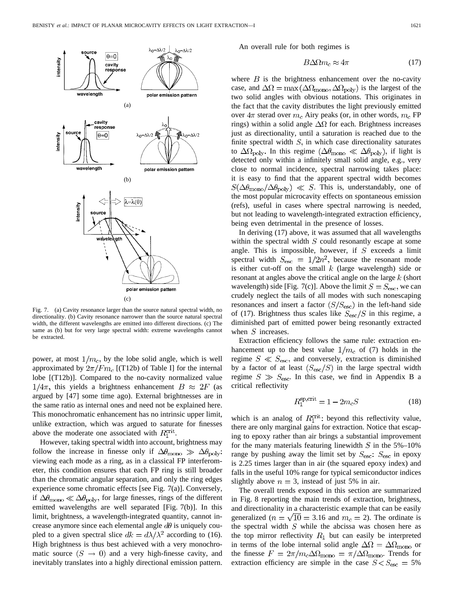

Fig. 7. (a) Cavity resonance larger than the source natural spectral width, no directionality. (b) Cavity resonance narrower than the source natural spectral width, the different wavelengths are emitted into different directions. (c) The same as (b) but for very large spectral width: extreme wavelengths cannot be extracted.

power, at most  $1/m_c$ , by the lobe solid angle, which is well approximated by  $2\pi/\text{F}m_c$  [(T12b) of Table I] for the internal lobe [(T12b)]. Compared to the no-cavity normalized value  $1/4\pi$ , this yields a brightness enhancement  $B \approx 2F$  (as argued by [47] some time ago). External brightnesses are in the same ratio as internal ones and need not be explained here. This monochromatic enhancement has no intrinsic upper limit, unlike extraction, which was argued to saturate for finesses above the moderate one associated with  $R_1^{\text{crit}}$ .

However, taking spectral width into account, brightness may follow the increase in finesse only if  $\Delta\theta_{\text{mono}} \gg \Delta\theta_{\text{poly}}$ : viewing each mode as a ring, as in a classical FP interferometer, this condition ensures that each FP ring is still broader than the chromatic angular separation, and only the ring edges experience some chromatic effects [see Fig. 7(a)]. Conversely, if  $\Delta\theta_{\rm mono}\ll\Delta\theta_{\rm poly}$ , for large finesses, rings of the different emitted wavelengths are well separated [Fig. 7(b)]. In this limit, brightness, a wavelength-integrated quantity, cannot increase anymore since each elemental angle  $d\theta$  is uniquely coupled to a given spectral slice  $dk = d\lambda/\lambda^2$  according to (16). High brightness is thus best achieved with a very monochromatic source  $(S \rightarrow 0)$  and a very high-finesse cavity, and inevitably translates into a highly directional emission pattern.

An overall rule for both regimes is

$$
B\Delta\Omega m_c \approx 4\pi\tag{17}
$$

where  $B$  is the brightness enhancement over the no-cavity case, and  $\Delta\Omega = \max(\Delta\Omega_{\text{mono}}, \Delta\Omega_{\text{poly}})$  is the largest of the two solid angles with obvious notations. This originates in the fact that the cavity distributes the light previously emitted over  $4\pi$  sterad over  $m_c$  Airy peaks (or, in other words,  $m_c$  FP rings) within a solid angle  $\Delta\Omega$  for each. Brightness increases just as directionality, until a saturation is reached due to the finite spectral width  $S$ , in which case directionality saturates to  $\Delta\Omega_{\text{poly}}$ . In this regime  $(\Delta\theta_{\text{mono}} \ll \Delta\theta_{\text{poly}})$ , if light is detected only within a infinitely small solid angle, e.g., very close to normal incidence, spectral narrowing takes place: it is easy to find that the apparent spectral width becomes  $S(\Delta\theta_{\rm mono}/\Delta\theta_{\rm poly}) \ll S$ . This is, understandably, one of the most popular microcavity effects on spontaneous emission (refs), useful in cases where spectral narrowing is needed, but not leading to wavelength-integrated extraction efficiency, being even detrimental in the presence of losses.

In deriving (17) above, it was assumed that all wavelengths within the spectral width  $S$  could resonantly escape at some angle. This is impossible, however, if  $S$  exceeds a limit spectral width  $S_{\text{esc}} = 1/2n^2$ , because the resonant mode is either cut-off on the small  $k$  (large wavelength) side or resonant at angles above the critical angle on the large  $k$  (short wavelength) side [Fig. 7(c)]. Above the limit  $S = S<sub>esc</sub>$ , we can crudely neglect the tails of all modes with such nonescaping resonances and insert a factor  $(S/S_{\text{esc}})$  in the left-hand side of (17). Brightness thus scales like  $S_{\rm esc}/S$  in this regime, a diminished part of emitted power being resonantly extracted when  $S$  increases.

Extraction efficiency follows the same rule: extraction enhancement up to the best value  $1/m_c$  of (7) holds in the regime  $S \ll S<sub>esc</sub>$ , and conversely, extraction is diminished by a factor of at least  $(S_{\rm esc}/S)$  in the large spectral width regime  $S \gg S_{\text{esc}}$ . In this case, we find in Appendix B a critical reflectivity

$$
R_1^{\text{sp,crit}} = 1 - 2m_c S \tag{18}
$$

which is an analog of  $R_1^{\text{crit}}$ : beyond this reflectivity value, there are only marginal gains for extraction. Notice that escaping to epoxy rather than air brings a substantial improvement for the many materials featuring linewidth  $S$  in the 5%–10% range by pushing away the limit set by  $S_{\text{esc}}$ :  $S_{\text{esc}}$  in epoxy is 2.25 times larger than in air (the squared epoxy index) and falls in the useful 10% range for typical semiconductor indices slightly above  $n = 3$ , instead of just 5% in air.

The overall trends exposed in this section are summarized in Fig. 8 reporting the main trends of extraction, brightness, and directionality in a characteristic example that can be easily generalized ( $n = \sqrt{10} = 3.16$  and  $m_c = 2$ ). The ordinate is the spectral width  $S$  while the abcissa was chosen here as the top mirror reflectivity  $R_1$  but can easily be interpreted in terms of the lobe internal solid angle  $\Delta\Omega = \Delta\Omega_{\text{mono}}$  or the finesse  $F = 2\pi/m_c\Delta\Omega_{\text{mono}} = \pi/\Delta\Omega_{\text{mono}}$ . Trends for extraction efficiency are simple in the case  $S < S<sub>esc</sub> = 5%$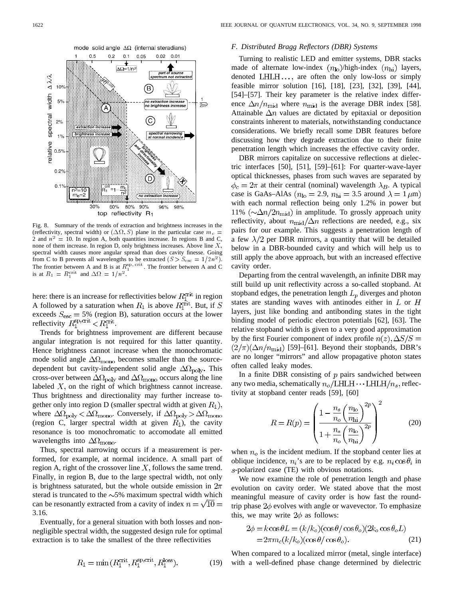

Fig. 8. Summary of the trends of extraction and brightness increases in the (reflectivity, spectral width) or  $(\Delta \Omega, S)$  plane in the particular case  $m_c =$ 2 and  $n^2 = 10$ . In region A, both quantities increase. In regions B and C, none of them increase. In region D, only brightness increases. Above line  $X$ , spectral width causes more angular spread than does cavity finesse. Going from C to B prevents all wavelengths to be extracted  $(S > S<sub>esc</sub> = 1/2n<sup>2</sup>)$ . The frontier between A and B is at  $R_1^{\text{sp, crit}}$ . The frontier between A and C is at  $R_1 = R_1^{\text{crit}}$  and  $\Delta \Omega = 1/n^2$ .

here: there is an increase for reflectivities below  $R_1^{\text{crit}}$  in region A followed by a saturation when  $R_1$  is above  $R_1^{\text{crit}}$ . But, if S exceeds  $S_{\text{esc}} = 5\%$  (region B), saturation occurs at the lower reflectivity  $R_1^{\text{sp,crit}} < R_1^{\text{crit}}$ .

Trends for brightness improvement are different because angular integration is not required for this latter quantity. Hence brightness cannot increase when the monochromatic mode solid angle  $\Delta\Omega_{\rm mono}$  becomes smaller than the sourcedependent but cavity-independent solid angle  $\Delta\Omega_{\rm poly}$ . This cross-over between  $\Delta\Omega_{\text{poly}}$  and  $\Delta\Omega_{\text{mono}}$  occurs along the line labeled  $X$ , on the right of which brightness cannot increase. Thus brightness and directionality may further increase together only into region D (smaller spectral width at given  $R_1$ ), where  $\Delta\Omega_{\text{poly}} < \Delta\Omega_{\text{mono}}$ . Conversely, if  $\Delta\Omega_{\text{poly}} > \Delta\Omega_{\text{mono}}$ (region C, larger spectral width at given  $R_1$ ), the cavity resonance is too monochromatic to accomodate all emitted wavelengths into  $\Delta\Omega_{\rm mono}$ .

Thus, spectral narrowing occurs if a measurement is performed, for example, at normal incidence. A small part of region A, right of the crossover line  $X$ , follows the same trend. Finally, in region B, due to the large spectral width, not only is brightness saturated, but the whole outside emission in  $2\pi$ sterad is truncated to the  $\sim$ 5% maximum spectral width which can be resonantly extracted from a cavity of index  $n = \sqrt{10}$ 3.16.

Eventually, for a general situation with both losses and nonnegligible spectral width, the suggested design rule for optimal extraction is to take the smallest of the three reflectivities

#### *F. Distributed Bragg Reflectors (DBR) Systems*

Turning to realistic LED and emitter systems, DBR stacks made of alternate low-index  $(n_{\rm lo})$ /high-index  $(n_{\rm hi})$  layers, denoted  $LHLH...$ , are often the only low-loss or simply feasible mirror solution [16], [18], [23], [32], [39], [44], [54]–[57]. Their key parameter is the relative index difference  $\Delta n/n_{\rm mid}$  where  $n_{\rm mid}$  is the average DBR index [58]. Attainable  $\Delta n$  values are dictated by epitaxial or deposition constraints inherent to materials, notwithstanding conductance considerations. We briefly recall some DBR features before discussing how they degrade extraction due to their finite penetration length which increases the effective cavity order.

DBR mirrors capitalize on successive reflections at dielectric interfaces [50], [51], [59]–[61]: For quarter-wave-layer optical thicknesses, phases from such waves are separated by  $\phi_c = 2\pi$  at their central (nominal) wavelength  $\lambda_B$ . A typical case is GaAs–AlAs ( $n_{\text{lo}} = 2.9$ ,  $n_{\text{hi}} = 3.5$  around  $\lambda = 1 \,\mu\text{m}$ ) with each normal reflection being only 1.2% in power but 11%  $(\sim\!\Delta n/2n_{\rm mid})$  in amplitude. To grossly approach unity reflectivity, about  $n_{mid}/\Delta n$  reflections are needed, e.g., six pairs for our example. This suggests a penetration length of a few  $\lambda/2$  per DBR mirrors, a quantity that will be detailed below in a DBR-bounded cavity and which will help us to still apply the above approach, but with an increased effective cavity order.

Departing from the central wavelength, an infinite DBR may still build up unit reflectivity across a so-called stopband. At stopband edges, the penetration length  $L_p$  diverges and photon states are standing waves with antinodes either in  $L$  or  $H$ layers, just like bonding and antibonding states in the tight binding model of periodic electron potentials [62], [63]. The relative stopband width is given to a very good approximation by the first Fourier component of index profile  $n(z)$ ,  $\Delta S/S$  =  $(2/\pi)(\Delta n/n_{\rm mid})$  [59]–[61]. Beyond their stopbands, DBR's are no longer "mirrors" and allow propagative photon states often called leaky modes.

In a finite DBR consisting of  $p$  pairs sandwiched between any two media, schematically  $n_o/LHLH \cdots LHLH/n_s$ , reflectivity at stopband center reads [59], [60]

$$
R = R(p) = \left(\frac{1 - \frac{n_s}{n_o} \left(\frac{n_{\rm lo}}{n_{\rm hi}}\right)^{2p}}{1 + \frac{n_s}{n_o} \left(\frac{n_{\rm lo}}{n_{\rm hi}}\right)^{2p}}\right)^2
$$
(20)

when  $n<sub>o</sub>$  is the incident medium. If the stopband center lies at oblique incidence,  $n_i$ 's are to be replaced by e.g.  $n_i \cos \theta_i$  in -polarized case (TE) with obvious notations.

We now examine the role of penetration length and phase evolution on cavity order. We stated above that the most meaningful measure of cavity order is how fast the roundtrip phase  $2\phi$  evolves with angle or wavevector. To emphasize this, we may write  $2\phi$  as follows:

$$
2\phi = k \cos \theta L = (k/k_o)(\cos \theta / \cos \theta_o)(2k_o \cos \theta_o L)
$$
  
= 
$$
2\pi m_c (k/k_o)(\cos \theta / \cos \theta_o).
$$
 (21)

When compared to a localized mirror (metal, single interface) with a well-defined phase change determined by dielectric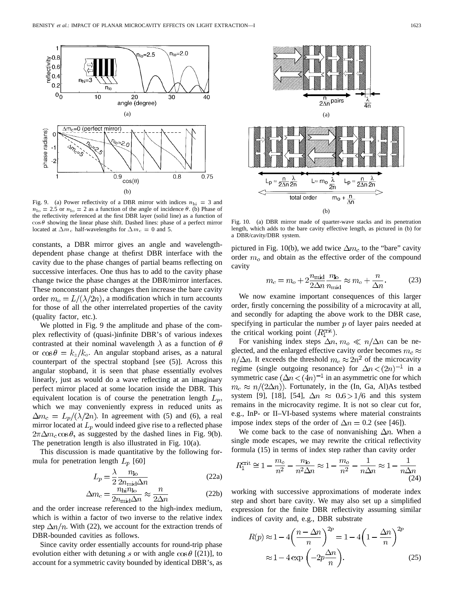

Fig. 9. (a) Power reflectivity of a DBR mirror with indices  $n_{\text{hi}} = 3$  and  $n_{\text{lo}} = 2.5$  or  $n_{\text{lo}} = 2$  as a function of the angle of incidence  $\theta$ . (b) Phase of the reflectivity referenced at the first DBR layer (solid line) as a function of  $\cos \theta$  showing the linear phase shift. Dashed lines: phase of a perfect mirror located at  $\Delta m_c$  half-wavelengths for  $\Delta m_c = 0$  and 5.

constants, a DBR mirror gives an angle and wavelengthdependent phase change at thefirst DBR interface with the cavity due to the phase changes of partial beams reflecting on successive interfaces. One thus has to add to the cavity phase change twice the phase changes at the DBR/mirror interfaces. These nonconstant phase changes then increase the bare cavity order  $m_o = L/(\lambda/2n)$ , a modification which in turn accounts for those of all the other interrelated properties of the cavity (quality factor, etc.).

We plotted in Fig. 9 the amplitude and phase of the complex reflectivity of (quasi-)infinite DBR's of various indexes contrasted at their nominal wavelength  $\lambda$  as a function of  $\theta$ or  $\cos \theta = k_z / k_o$ . An angular stopband arises, as a natural counterpart of the spectral stopband [see (5)]. Across this angular stopband, it is seen that phase essentially evolves linearly, just as would do a wave reflecting at an imaginary perfect mirror placed at some location inside the DBR. This equivalent location is of course the penetration length  $L_p$ , which we may conveniently express in reduced units as  $\Delta m_c = L_p/(\lambda/2n)$ . In agreement with (5) and (6), a real mirror located at  $L_p$  would indeed give rise to a reflected phase  $2\pi\Delta m_c \cos\theta$ , as suggested by the dashed lines in Fig. 9(b). The penetration length is also illustrated in Fig. 10(a).

This discussion is made quantitative by the following formula for penetration length  $L_p$  [60]

$$
L_p = \frac{\lambda}{2} \frac{n_{\text{lo}}}{2n_{\text{mid}} \Delta n} \tag{22a}
$$

$$
\Delta m_c = \frac{n_{\text{hi}} n_{\text{lo}}}{2n_{\text{mid}} \Delta n} \approx \frac{n}{2\Delta n}
$$
 (22b)

and the order increase referenced to the high-index medium, which is within a factor of two inverse to the relative index step  $\Delta n/n$ . With (22), we account for the extraction trends of DBR-bounded cavities as follows.

Since cavity order essentially accounts for round-trip phase evolution either with detuning s or with angle  $\cos\theta$  [(21)], to account for a symmetric cavity bounded by identical DBR's, as



Fig. 10. (a) DBR mirror made of quarter-wave stacks and its penetration length, which adds to the bare cavity effective length, as pictured in (b) for a DBR/cavity/DBR system.

pictured in Fig. 10(b), we add twice  $\Delta m_c$  to the "bare" cavity order  $m<sub>o</sub>$  and obtain as the effective order of the compound cavity

$$
m_c = m_o + 2 \frac{n_{\text{mid}}}{2\Delta n} \frac{n_{\text{lo}}}{n_{\text{mid}}} \approx m_o + \frac{n}{\Delta n}.
$$
 (23)

We now examine important consequences of this larger order, firstly concerning the possibility of a microcavity at all, and secondly for adapting the above work to the DBR case, specifying in particular the number  $p$  of layer pairs needed at the critical working point  $(R_1^{\text{crit}})$ .

For vanishing index steps  $\Delta n$ ,  $m_o \ll n/\Delta n$  can be neglected, and the enlarged effective cavity order becomes  $m_c \approx$  $n/\Delta n$ . It exceeds the threshold  $m_c \approx 2n^2$  of the microcavity regime (single outgoing resonance) for  $\Delta n < (2n)^{-1}$  in a symmetric case  $(\Delta n < (4n)^{-1}$  in an asymmetric one for which  $m_c \approx n/(2\Delta n)$ ). Fortunately, in the (In, Ga, Al)As testbed system [9], [18], [54],  $\Delta n \approx 0.6 > 1/6$  and this system remains in the microcavity regime. It is not so clear cut for, e.g., InP- or II–VI-based systems where material constraints impose index steps of the order of  $\Delta n = 0.2$  (see [46]).

We come back to the case of nonvanishing  $\Delta n$ . When a single mode escapes, we may rewrite the critical reflectivity formula (15) in terms of index step rather than cavity order

$$
R_1^{\text{crit}} \cong 1 - \frac{m_o}{n^2} - \frac{n_{\text{lo}}}{n^2 \Delta n} \approx 1 - \frac{m_o}{n^2} - \frac{1}{n \Delta n} \approx 1 - \frac{1}{n \Delta n}
$$
\n(24)

working with successive approximations of moderate index step and short bare cavity. We may also set up a simplified expression for the finite DBR reflectivity assuming similar indices of cavity and, e.g., DBR substrate

$$
R(p) \approx 1 - 4\left(\frac{n - \Delta n}{n}\right)^{2p} = 1 - 4\left(1 - \frac{\Delta n}{n}\right)^{2p}
$$

$$
\approx 1 - 4\exp\left(-2p\frac{\Delta n}{n}\right).
$$
(25)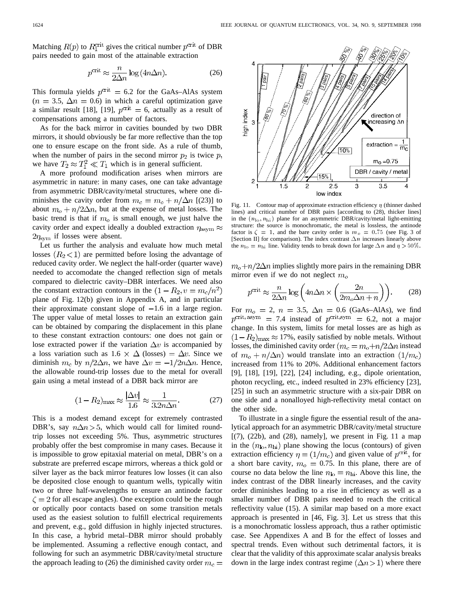Matching  $R(p)$  to  $R_1^{\text{crit}}$  gives the critical number  $p^{\text{crit}}$  of DBR pairs needed to gain most of the attainable extraction

$$
p^{\text{crit}} \approx \frac{n}{2\Delta n} \log \left( 4n\Delta n \right). \tag{26}
$$

This formula yields  $p^{\text{crit}} = 6.2$  for the GaAs–AlAs system  $(n = 3.5, \Delta n = 0.6)$  in which a careful optimization gave a similar result [18], [19],  $p^{\text{crit}} = 6$ , actually as a result of compensations among a number of factors.

As for the back mirror in cavities bounded by two DBR mirrors, it should obviously be far more reflective than the top one to ensure escape on the front side. As a rule of thumb, when the number of pairs in the second mirror  $p_2$  is twice  $p$ , we have  $T_2 \approx T_1^2 \ll T_1$  which is in general sufficient.

A more profound modification arises when mirrors are asymmetric in nature: in many cases, one can take advantage from asymmetric DBR/cavity/metal structures, where one diminishes the cavity order from  $m_c = m_o + n/\Delta n$  [(23)] to about  $m_o + n/2\Delta n$ , but at the expense of metal losses. The basic trend is that if  $m<sub>o</sub>$  is small enough, we just halve the cavity order and expect ideally a doubled extraction  $\eta_{\text{asym}} \approx$  $2\eta_{\text{sym}}$  if losses were absent.

Let us further the analysis and evaluate how much metal losses  $(R_2<1)$  are permitted before losing the advantage of reduced cavity order. We neglect the half-order (quarter wave) needed to accomodate the changed reflection sign of metals compared to dielectric cavity–DBR interfaces. We need also the constant extraction contours in the  $(1 - R_2, v = m_c/n^2)$ plane of Fig. 12(b) given in Appendix A, and in particular their approximate constant slope of  $-1.6$  in a large region. The upper value of metal losses to retain an extraction gain can be obtained by comparing the displacement in this plane to these constant extraction contours: one does not gain or lose extracted power if the variation  $\Delta v$  is accompanied by a loss variation such as  $1.6 \times \Delta$  (losses) =  $\Delta v$ . Since we diminish  $m_c$  by  $n/2\Delta n$ , we have  $\Delta v = -1/2n\Delta n$ . Hence, the allowable round-trip losses due to the metal for overall gain using a metal instead of a DBR back mirror are

$$
(1 - R_2)_{\text{max}} \approx \frac{|\Delta v|}{1.6} \approx \frac{1}{3.2n\Delta n}.
$$
 (27)

This is a modest demand except for extremely contrasted DBR's, say  $n\Delta n > 5$ , which would call for limited roundtrip losses not exceeding 5%. Thus, asymmetric structures probably offer the best compromise in many cases. Because it is impossible to grow epitaxial material on metal, DBR's on a substrate are preferred escape mirrors, whereas a thick gold or silver layer as the back mirror features low losses (it can also be deposited close enough to quantum wells, typically witin two or three half-wavelengths to ensure an antinode factor  $\zeta = 2$  for all escape angles). One exception could be the rough or optically poor contacts based on some transition metals used as the easiest solution to fulfill electrical requirements and prevent, e.g., gold diffusion in highly injected structures. In this case, a hybrid metal–DBR mirror should probably be implemented. Assuming a reflective enough contact, and following for such an asymmetric DBR/cavity/metal structure the approach leading to (26) the diminished cavity order  $m_c =$ 



Fig. 11. Contour map of approximate extraction efficiency  $\eta$  (thinner dashed lines) and critical number of DBR pairs [according to (28), thicker lines] in the  $(n_{\text{lo}}, n_{\text{hi}})$  plane for an asymmetric DBR/cavity/metal light-emitting structure: the source is monochromatic, the metal is lossless, the antinode factor is  $\zeta = 1$ , and the bare cavity order is  $m<sub>o</sub> = 0.75$  (see Fig. 3 of [Section II] for comparison). The index contrast  $\Delta n$  increases linearly above the  $n_{\text{lo}} = n_{\text{hi}}$  line. Validity tends to break down for large  $\Delta n$  and  $\eta > 50\%$ .

 $m_o+n/2\Delta n$  implies slightly more pairs in the remaining DBR mirror even if we do not neglect  $m<sub>o</sub>$ 

$$
p^{\text{crit}} \approx \frac{n}{2\Delta n} \log \left( 4n \Delta n \times \left( \frac{2n}{2m_o \Delta n + n} \right) \right). \tag{28}
$$

For  $m_0 = 2$ ,  $n = 3.5$ ,  $\Delta n = 0.6$  (GaAs–AlAs), we find  $p^{\text{crit, asym}} = 7.4$  instead of  $p^{\text{crit,sym}} = 6.2$ , not a major change. In this system, limits for metal losses are as high as  $(1-R_2)_{\text{max}} \approx 17\%$ , easily satisfied by noble metals. Without losses, the diminished cavity order  $(m_c = m_o + n/2\Delta n$  instead of  $m_o + n/\Delta n$ ) would translate into an extraction  $(1/m_c)$ increased from 11% to 20%. Additional enhancement factors [9], [18], [19], [22], [24] including, e.g., dipole orientation, photon recycling, etc., indeed resulted in 23% efficiency [23], [25] in such an asymmetric structure with a six-pair DBR on one side and a nonalloyed high-reflectivity metal contact on the other side.

To illustrate in a single figure the essential result of the analytical approach for an asymmetric DBR/cavity/metal structure  $[(7), (22b), and (28), namely], we present in Fig. 11 a map$ in the  $(n_{\text{lo}}, n_{\text{hi}})$  plane showing the locus (contours) of given extraction efficiency  $\eta = (1/m_c)$  and given value of  $p^{\text{crit}}$ , for a short bare cavity,  $m<sub>o</sub> = 0.75$ . In this plane, there are of course no data below the line  $n_{\text{lo}} = n_{\text{hi}}$ . Above this line, the index contrast of the DBR linearly increases, and the cavity order diminishes leading to a rise in efficiency as well as a smaller number of DBR pairs needed to reach the critical reflectivity value (15). A similar map based on a more exact approach is presented in [46, Fig. 3]. Let us stress that this is a monochromatic lossless approach, thus a rather optimistic case. See Appendixes A and B for the effect of losses and spectral trends. Even without such detrimental factors, it is clear that the validity of this approximate scalar analysis breaks down in the large index contrast regime  $(\Delta n > 1)$  where there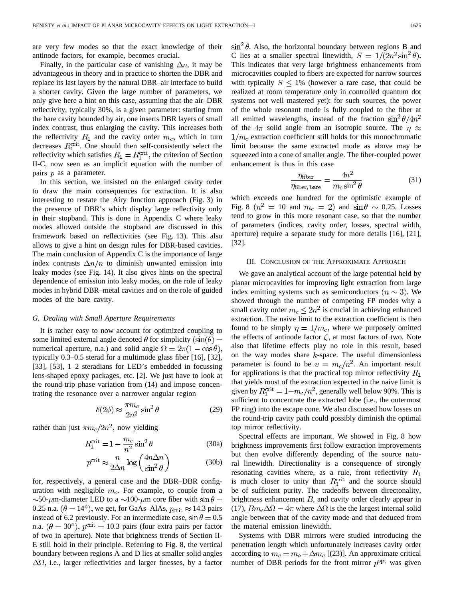are very few modes so that the exact knowledge of their antinode factors, for example, becomes crucial.

Finally, in the particular case of vanishing  $\Delta n$ , it may be advantageous in theory and in practice to shorten the DBR and replace its last layers by the natural DBR–air interface to build a shorter cavity. Given the large number of parameters, we only give here a hint on this case, assuming that the air–DBR reflectivity, typically 30%, is a given parameter: starting from the bare cavity bounded by air, one inserts DBR layers of small index contrast, thus enlarging the cavity. This increases both the reflectivity  $R_1$  and the cavity order  $m_c$ , which in turn decreases  $R_1^{\text{crit}}$ . One should then self-consistently select the reflectivity which satisfies  $R_1 = R_1^{\text{crit}}$ , the criterion of Section II-C, now seen as an implicit equation with the number of pairs  $p$  as a parameter.

In this section, we insisted on the enlarged cavity order to draw the main consequences for extraction. It is also interesting to restate the Airy function approach (Fig. 3) in the presence of DBR's which display large reflectivity only in their stopband. This is done in Appendix C where leaky modes allowed outside the stopband are discussed in this framework based on reflectivities (see Fig. 13). This also allows to give a hint on design rules for DBR-based cavities. The main conclusion of Appendix C is the importance of large index contrasts  $\Delta n/n$  to diminish unwanted emission into leaky modes (see Fig. 14). It also gives hints on the spectral dependence of emission into leaky modes, on the role of leaky modes in hybrid DBR–metal cavities and on the role of guided modes of the bare cavity.

## *G. Dealing with Small Aperture Requirements*

It is rather easy to now account for optimized coupling to some limited external angle denoted  $\theta$  for simplicity  $(\sin(\theta))$ numerical aperture, n.a.) and solid angle  $\Omega = 2\pi(1 - \cos\theta)$ , typically 0.3–0.5 sterad for a multimode glass fiber [16], [32], [33], [53], 1–2 steradians for LED's embedded in focussing lens-shaped epoxy packages, etc. [2]. We just have to look at the round-trip phase variation from (14) and impose concentrating the resonance over a narrower angular region

$$
\delta(2\phi) \approx \frac{\pi m_c}{2n^2} \sin^2 \theta \tag{29}
$$

rather than just  $\pi m_c/2n^2$ , now yielding

$$
R_1^{\text{crit}} = 1 - \frac{m_c}{n^2} \sin^2 \theta \tag{30a}
$$
\n
$$
\text{crit} = \frac{n}{\sqrt{4n\Delta n}} \tag{30b}
$$

$$
p^{\text{crit}} \approx \frac{n}{2\Delta n} \log \left( \frac{4n\Delta n}{\sin^2 \theta} \right) \tag{30b}
$$

for, respectively, a general case and the DBR–DBR configuration with negligible  $m<sub>o</sub>$ . For example, to couple from a  $\sim$ 50- $\mu$ m-diameter LED to a  $\sim$ 100- $\mu$ m core fiber with sin $\theta$  = 0.25 n.a.  $(\theta = 14^{\circ})$ , we get, for GaAs–AlAs,  $p_{\text{crit}} \approx 14.3$  pairs instead of 6.2 previously. For an intermediate case,  $\sin \theta = 0.5$ n.a.  $(\theta = 30^{\circ})$ ,  $p^{\text{crit}} = 10.3$  pairs (four extra pairs per factor of two in aperture). Note that brightness trends of Section II-E still hold in their principle. Referring to Fig. 8, the vertical boundary between regions A and D lies at smaller solid angles  $\Delta\Omega$ , i.e., larger reflectivities and larger finesses, by a factor  $\sin^2 \theta$ . Also, the horizontal boundary between regions B and C lies at a smaller spectral linewidth,  $S = 1/(2n^2 \sin^2 \theta)$ . This indicates that very large brightness enhancements from microcavities coupled to fibers are expected for narrow sources with typically  $S \leq 1\%$  (however a rare case, that could be realized at room temperature only in controlled quantum dot systems not well mastered yet): for such sources, the power of the whole resonant mode is fully coupled to the fiber at all emitted wavelengths, instead of the fraction  $\sin^2 \theta / 4n^2$ of the  $4\pi$  solid angle from an isotropic source. The  $\eta \approx$  $1/m_c$  extraction coefficient still holds for this monochromatic limit because the same extracted mode as above may be squeezed into a cone of smaller angle. The fiber-coupled power enhancement is thus in this case

$$
\frac{\eta_{\text{fiber}}}{\eta_{\text{fiber, bare}}} = \frac{4n^2}{m_c \sin^2 \theta} \tag{31}
$$

which exceeds one hundred for the optimistic example of Fig. 8  $(n^2 = 10 \text{ and } m_c = 2)$  and  $\sin \theta \sim 0.25$ . Losses tend to grow in this more resonant case, so that the number of parameters (indices, cavity order, losses, spectral width, aperture) require a separate study for more details [16], [21], [32].

#### III. CONCLUSION OF THE APPROXIMATE APPROACH

We gave an analytical account of the large potential held by planar microcavities for improving light extraction from large index emitting systems such as semiconductors  $(n \sim 3)$ . We showed through the number of competing FP modes why a small cavity order  $m_c \leq 2n^2$  is crucial in achieving enhanced extraction. The naive limit to the extraction coefficient is then found to be simply  $\eta = 1/m_c$ , where we purposely omitted the effects of antinode factor  $\zeta$ , at most factors of two. Note also that lifetime effects play no role in this result, based on the way modes share  $k$ -space. The useful dimensionless parameter is found to be  $v = m_c/n^2$ . An important result for applications is that the practical top mirror reflectivity  $R_1$ that yields most of the extraction expected in the naive limit is given by  $R_1^{\text{crit}} = 1 - m_c/n^2$ , generally well below 90%. This is sufficient to concentrate the extracted lobe (i.e., the outermost FP ring) into the escape cone. We also discussed how losses on the round-trip cavity path could possibly diminish the optimal top mirror reflectivity.

Spectral effects are important. We showed in Fig. 8 how brightness improvements first follow extraction improvements but then evolve differently depending of the source natural linewidth. Directionality is a consequence of strongly resonating cavities where, as a rule, front reflectivity  $R_1$ is much closer to unity than  $R_1^{\text{crit}}$  and the source should be of sufficient purity. The tradeoffs between directonality, brightness enhancement  $B$ , and cavity order clearly appear in (17),  $Bm_c\Delta\Omega = 4\pi$  where  $\Delta\Omega$  is the the largest internal solid angle between that of the cavity mode and that deduced from the material emission linewidth.

Systems with DBR mirrors were studied introducing the penetration length which unfortunately increases cavity order according to  $m_c = m_o + \Delta m_c$  [(23)]. An approximate critical number of DBR periods for the front mirror  $p^{\text{opt}}$  was given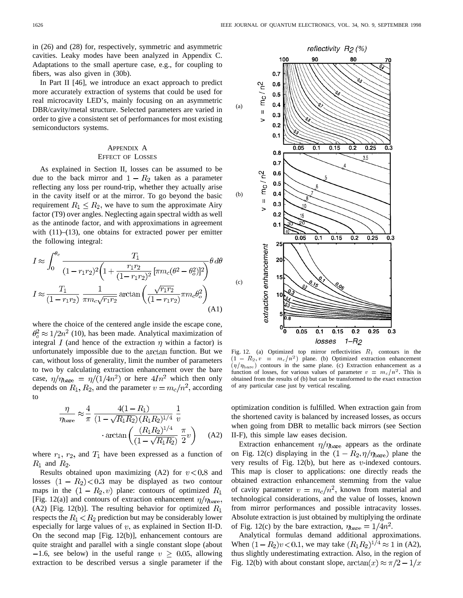in (26) and (28) for, respectively, symmetric and asymmetric cavities. Leaky modes have been analyzed in Appendix C. Adaptations to the small aperture case, e.g., for coupling to fibers, was also given in (30b).

In Part II [46], we introduce an exact approach to predict more accurately extraction of systems that could be used for real microcavity LED's, mainly focusing on an asymmetric DBR/cavity/metal structure. Selected parameters are varied in order to give a consistent set of performances for most existing semiconductors systems.

## APPENDIX A EFFECT OF LOSSES

As explained in Section II, losses can be assumed to be due to the back mirror and  $1 - R_2$  taken as a parameter reflecting any loss per round-trip, whether they actually arise in the cavity itself or at the mirror. To go beyond the basic requirement  $R_1 \leq R_2$ , we have to sum the approximate Airy factor (T9) over angles. Neglecting again spectral width as well as the antinode factor, and with approximations in agreement with  $(11)$ – $(13)$ , one obtains for extracted power per emitter the following integral:

$$
I \approx \int_0^{\theta_c} \frac{T_1}{(1 - r_1 r_2)^2 \left(1 + \frac{r_1 r_2}{(1 - r_1 r_2)^2} \left[\pi m_c (\theta^2 - \theta_o^2)\right]^2\right)} \theta \, d\theta
$$
  

$$
I \approx \frac{T_1}{(1 - r_1 r_2)} \frac{1}{\pi m_c \sqrt{r_1 r_2}} \arctan\left(\frac{\sqrt{r_1 r_2}}{(1 - r_1 r_2)} \pi m_c \theta_o^2\right)
$$
(A1)

where the choice of the centered angle inside the escape cone,  $\theta_0^2 \approx 1/2n^2$  (10), has been made. Analytical maximization of integral  $I$  (and hence of the extraction  $\eta$  within a factor) is unfortunately impossible due to the arctan function. But we can, without loss of generality, limit the number of parameters to two by calculating extraction enhancement over the bare case,  $\eta/\eta_{\rm bare} = \eta/(1/4n^2)$  or here  $4In^2$  which then only depends on  $R_1, R_2$ , and the parameter  $v = m_c/n^2$ , according to

$$
\frac{\eta}{\eta_{\text{bare}}} \approx \frac{4}{\pi} \frac{4(1 - R_1)}{(1 - \sqrt{R_1 R_2})(R_1 R_2)^{1/4}} \frac{1}{v}
$$

$$
\arctan\left(\frac{(R_1 R_2)^{1/4}}{(1 - \sqrt{R_1 R_2})} \frac{\pi}{2} v\right) \quad (A2)
$$

where  $r_1$ ,  $r_2$ , and  $T_1$  have been expressed as a function of  $R_1$  and  $R_2$ .

Results obtained upon maximizing (A2) for  $v < 0.8$  and losses  $(1 - R_2)$  < 0.3 may be displayed as two contour maps in the  $(1 - R_2, v)$  plane: contours of optimized  $R_1$ [Fig. 12(a)] and contours of extraction enhancement  $\eta/\eta_{\rm bare}$ , (A2) [Fig. 12(b)]. The resulting behavior for optimized  $R_1$ respects the  $R_1 < R_2$  prediction but may be considerably lower especially for large values of  $v$ , as explained in Section II-D. On the second map [Fig. 12(b)], enhancement contours are quite straight and parallel with a single constant slope (about  $-1.6$ , see below) in the useful range  $v > 0.05$ , allowing extraction to be described versus a single parameter if the



Fig. 12. (a) Optimized top mirror reflectivities  $R_1$  contours in the  $(\eta/\eta_{\rm bare})$  contours in the same plane. (c) Extraction enhancement as a function of losses, for various values of parameter  $v = m_c/n^2$ . This is obtained from the results of (b) but can be transformed to the exact extraction of any particular case just by vertical rescaling.

optimization condition is fulfilled. When extraction gain from the shortened cavity is balanced by increased losses, as occurs when going from DBR to metallic back mirrors (see Section II-F), this simple law eases decision.

Extraction enhancement  $\eta/\eta_{\rm bare}$  appears as the ordinate on Fig. 12(c) displaying in the  $(1 - R_2, \eta/\eta_{\rm bare})$  plane the very results of Fig. 12(b), but here as  $v$ -indexed contours. This map is closer to applications: one directly reads the obtained extraction enhancement stemming from the value of cavity parameter  $v = m_c/n^2$ , known from material and technological considerations, and the value of losses, known from mirror performances and possible intracavity losses. Absolute extraction is just obtained by multiplying the ordinate of Fig. 12(c) by the bare extraction,  $\eta_{\text{bare}} = 1/4n^2$ .

Analytical formulas demand additional approximations. When  $(1 - R_2)v < 0.1$ , we may take  $(R_1R_2)^{1/4} \approx 1$  in (A2), thus slightly underestimating extraction. Also, in the region of Fig. 12(b) with about constant slope,  $arctan(x) \approx \pi/2 - 1/x$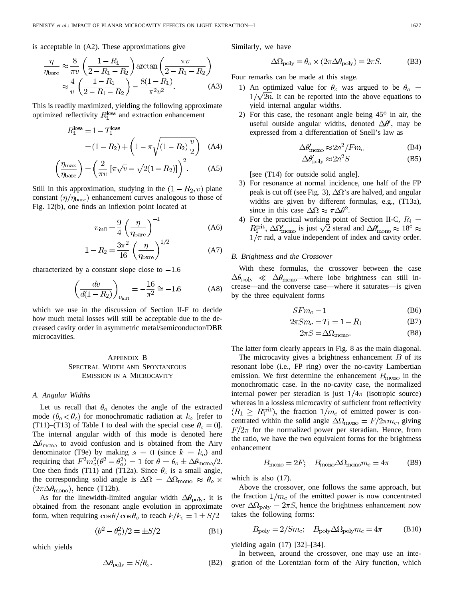is acceptable in (A2). These approximations give

$$
\frac{\eta}{\eta_{\text{bare}}} \approx \frac{8}{\pi v} \left( \frac{1 - R_1}{2 - R_1 - R_2} \right) \arctan \left( \frac{\pi v}{2 - R_1 - R_2} \right) \n\approx \frac{4}{v} \left( \frac{1 - R_1}{2 - R_1 - R_2} \right) - \frac{8(1 - R_1)}{\pi^2 v^2}.
$$
\n(A3)

This is readily maximized, yielding the following approximate optimized reflectivity  $R_1^{\text{loss}}$  and extraction enhancement

$$
R_1^{\text{loss}} = 1 - T_1^{\text{loss}}
$$
  
=  $(1 - R_2) + \left(1 - \pi \sqrt{(1 - R_2) \frac{v}{2}}\right)$  (A4)

$$
\left(\frac{\eta_{\text{max}}}{\eta_{\text{bare}}}\right) = \left(\frac{2}{\pi v} \left[\pi \sqrt{v} - \sqrt{2(1 - R_2)}\right]\right)^2. \tag{A5}
$$

Still in this approximation, studying in the  $(1 - R_2, v)$  plane constant  $(\eta/\eta_{\rm bare})$  enhancement curves analogous to those of Fig. 12(b), one finds an inflexion point located at

$$
v_{\text{infl}} = \frac{9}{4} \left( \frac{\eta}{\eta_{\text{bare}}} \right)^{-1} \tag{A6}
$$

$$
1 - R_2 = \frac{3\pi^2}{16} \left(\frac{\eta}{\eta_{\text{bare}}}\right)^{1/2} \tag{A7}
$$

characterized by a constant slope close to  $-1.6$ 

$$
\left(\frac{dv}{d(1-R_2)}\right)_{v_{\text{infl}}} = -\frac{16}{\pi^2} \cong -1.6
$$
 (A8)

which we use in the discussion of Section II-F to decide how much metal losses will still be acceptable due to the decreased cavity order in asymmetric metal/semiconductor/DBR microcavities.

# APPENDIX B SPECTRAL WIDTH AND SPONTANEOUS EMISSION IN A MICROCAVITY

# *A. Angular Widths*

Let us recall that  $\theta_o$  denotes the angle of the extracted mode  $(\theta_o < \theta_c)$  for monochromatic radiation at  $k_o$  [refer to (T11)–(T13) of Table I to deal with the special case  $\theta_o = 0$ . The internal angular width of this mode is denoted here  $\Delta\theta_{\rm mono}$  to avoid confusion and is obtained from the Airy denominator (T9e) by making  $s = 0$  (since  $k = k_o$ ) and requiring that  $F^2 m_c^2(\theta^2 - \theta_o^2) = 1$  for  $\theta = \theta_o \pm \Delta \theta_{\text{mono}}/2$ . One then finds (T11) and (T12a). Since  $\theta_o$  is a small angle, the corresponding solid angle is  $\Delta \Omega = \Delta \Omega_{\rm mono} \approx \theta_o \times$  $(2\pi\Delta\theta_{\text{mono}})$ , hence (T12b).

As for the linewidth-limited angular width  $\Delta\theta_{\rm poly}$ , it is obtained from the resonant angle evolution in approximate form, when requiring  $\cos \theta / \cos \theta_o$  to reach  $k/k_o = 1 \pm S/2$ 

$$
(\theta^2 - \theta_o^2)/2 = \pm S/2
$$
 (B1)

which yields

$$
\Delta \theta_{\text{poly}} = S/\theta_o. \tag{B2}
$$

Similarly, we have

$$
\Delta\Omega_{\text{poly}} = \theta_o \times (2\pi \Delta\theta_{\text{poly}}) = 2\pi S. \tag{B3}
$$

Four remarks can be made at this stage.

- 1) An optimized value for  $\theta_o$  was argued to be  $\theta_o$  =  $1/\sqrt{2n}$ . It can be reported into the above equations to yield internal angular widths.
- 2) For this case, the resonant angle being  $45^\circ$  in air, the useful outside angular widths, denoted  $\Delta\theta'$ , may be expressed from a differentiation of Snell's law as

$$
\Delta \theta'_{\rm mono} \approx 2n^2/Fm_c \tag{B4}
$$

$$
\Delta \theta'_{\text{poly}} \approx 2n^2 S \tag{B5}
$$

[see (T14) for outside solid angle].

- 3) For resonance at normal incidence, one half of the FP peak is cut off (see Fig. 3),  $\Delta \Omega$ 's are halved, and angular widths are given by different formulas, e.g., (T13a), since in this case  $\Delta\Omega \approx \pi \Delta\theta^2$ .
- 4) For the practical working point of Section II-C,  $R_1 =$  $R_1^{\text{crit}}$ ,  $\Delta \Omega'_{\text{mono}}$  is just  $\sqrt{2}$  sterad and  $\Delta \theta'_{\text{mono}} \approx 18^{\circ} \approx$  $1/\pi$  rad, a value independent of index and cavity order.

## *B. Brightness and the Crossover*

With these formulas, the crossover between the case  $\Delta\theta_{\text{poly}} \ll \Delta\theta_{\text{mono}}$ —where lobe brightness can still increase—and the converse case—where it saturates—is given by the three equivalent forms

$$
SFm_c = 1\tag{B6}
$$

$$
2\pi S m_c = T_1 = 1 - R_1 \tag{B7}
$$

$$
2\pi S = \Delta \Omega_{\text{mono}}.\tag{B8}
$$

The latter form clearly appears in Fig. 8 as the main diagonal.

The microcavity gives a brightness enhancement  $B$  of its resonant lobe (i.e., FP ring) over the no-cavity Lambertian emission. We first determine the enhancement  $B_{\rm mono}$  in the monochromatic case. In the no-cavity case, the normalized internal power per steradian is just  $1/4\pi$  (isotropic source) whereas in a lossless microcavity of sufficient front reflectivity  $(R_1 \ge R_1^{\text{crit}})$ , the fraction  $1/m_c$  of emitted power is concentrated within the solid angle  $\Delta\Omega_{\rm mono}=F/2\pi m_c$ , giving  $F/2\pi$  for the normalized power per steradian. Hence, from the ratio, we have the two equivalent forms for the brightness enhancement

$$
B_{\text{mono}} = 2F; \quad B_{\text{mono}} \Delta \Omega_{\text{mono}} m_c = 4\pi \tag{B9}
$$

which is also (17).

Above the crossover, one follows the same approach, but the fraction  $1/m_c$  of the emitted power is now concentrated over  $\Delta \Omega_{\text{poly}} = 2\pi S$ , hence the brightness enhancement now takes the following forms:

$$
B_{\text{poly}} = 2/Sm_c; \quad B_{\text{poly}} \Delta \Omega_{\text{poly}} m_c = 4\pi \quad (B10)
$$

yielding again (17) [32]–[34].

In between, around the crossover, one may use an integration of the Lorentzian form of the Airy function, which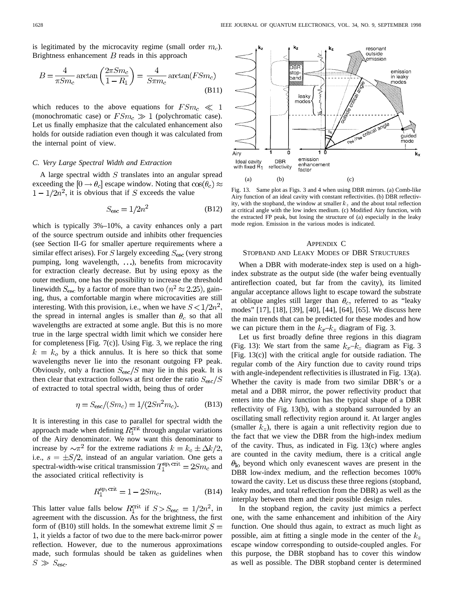is legitimated by the microcavity regime (small order  $m_c$ ). Brightness enhancement  $B$  reads in this approach

$$
B = \frac{4}{\pi S m_c} \arctan\left(\frac{2\pi S m_c}{1 - R_1}\right) = \frac{4}{S \pi m_c} \arctan(F S m_c)
$$
\n(B11)

which reduces to the above equations for  $FSm_c \ll 1$ (monochromatic case) or  $FSm_c \gg 1$  (polychromatic case). Let us finally emphasize that the calculated enhancement also holds for outside radiation even though it was calculated from the internal point of view.

#### *C. Very Large Spectral Width and Extraction*

A large spectral width  $S$  translates into an angular spread exceeding the  $[0 \rightarrow \theta_c]$  escape window. Noting that  $\cos(\theta_c) \approx$  $1 - 1/2n^2$ , it is obvious that if S exceeds the value

$$
S_{\rm esc} = 1/2n^2 \tag{B12}
$$

which is typically 3%–10%, a cavity enhances only a part of the source spectrum outside and inhibits other frequencies (see Section II-G for smaller aperture requirements where a similar effect arises). For S largely exceeding  $S_{\text{esc}}$  (very strong pumping, long wavelength, ...), benefits from microcavity for extraction clearly decrease. But by using epoxy as the outer medium, one has the possibility to increase the threshold linewidth  $S_{\text{esc}}$  by a factor of more than two  $(n^2 \approx 2.25)$ , gaining, thus, a comfortable margin where microcavities are still interesting. With this provision, i.e., when we have  $S < 1/2n^2$ , the spread in internal angles is smaller than  $\theta_c$  so that all wavelengths are extracted at some angle. But this is no more true in the large spectral width limit which we consider here for completeness [Fig. 7(c)]. Using Fig. 3, we replace the ring  $k = k_o$  by a thick annulus. It is here so thick that some wavelengths never lie into the resonant outgoing FP peak. Obviously, only a fraction  $S_{\rm esc}/S$  may lie in this peak. It is then clear that extraction follows at first order the ratio  $S_{\rm esc}/S$ of extracted to total spectral width, being thus of order

$$
\eta = S_{\rm esc} / (Sm_c) = 1 / (2Sn^2 m_c). \tag{B13}
$$

It is interesting in this case to parallel for spectral width the approach made when defining  $R_1^{\text{crit}}$  through angular variations of the Airy denominator. We now want this denominator to increase by  $\sim \pi^2$  for the extreme radiations  $k = k_o \pm \Delta k/2$ , i.e.,  $s = \pm S/2$ , instead of an angular variation. One gets a spectral-width-wise critical transmission  $T_1^{\text{sp, crit}} = 2Sm_c$  and the associated critical reflectivity is

$$
R_1^{\rm sp,\,crit} = 1 - 2Sm_c. \tag{B14}
$$

This latter value falls below  $R_1^{\text{crit}}$  if  $S > S_{\text{esc}} = 1/2n^2$ , in agreement with the discussion. As for the brightness, the first form of (B10) still holds. In the somewhat extreme limit  $S =$ 1, it yields a factor of two due to the mere back-mirror power reflection. However, due to the numerous approximations made, such formulas should be taken as guidelines when  $S \gg S_{\text{esc}}$ .



Fig. 13. Same plot as Figs. 3 and 4 when using DBR mirrors. (a) Comb-like Airy function of an ideal cavity with constant reflectivities. (b) DBR reflectivity, with the stopband, the window at smaller  $k_z$  and the about total reflection at critical angle with the low index medium. (c) Modified Airy function, with the extracted FP peak, but losing the structure of (a) especially in the leaky mode region. Emission in the various modes is indicated.

## APPENDIX C

# STOPBAND AND LEAKY MODES OF DBR STRUCTURES

When a DBR with moderate-index step is used on a highindex substrate as the output side (the wafer being eventually antireflection coated, but far from the cavity), its limited angular acceptance allows light to escape toward the substrate at oblique angles still larger than  $\theta_c$ , referred to as "leaky modes" [17], [18], [39], [40], [44], [64], [65]. We discuss here the main trends that can be predicted for these modes and how we can picture them in the  $k_x-k_z$  diagram of Fig. 3.

Let us first broadly define three regions in this diagram (Fig. 13): We start from the same  $k_x-k_z$  diagram as Fig. 3 [Fig. 13(c)] with the critical angle for outside radiation. The regular comb of the Airy function due to cavity round trips with angle-independent reflectivities is illustrated in Fig. 13(a). Whether the cavity is made from two similar DBR's or a metal and a DBR mirror, the power reflectivity product that enters into the Airy function has the typical shape of a DBR reflectivity of Fig. 13(b), with a stopband surrounded by an oscillating small reflectivity region around it. At larger angles (smaller  $k_z$ ), there is again a unit reflectivity region due to the fact that we view the DBR from the high-index medium of the cavity. Thus, as indicated in Fig. 13(c) where angles are counted in the cavity medium, there is a critical angle  $\theta_{\rm lo}$  beyond which only evanescent waves are present in the DBR low-index medium, and the reflection becomes 100% toward the cavity. Let us discuss these three regions (stopband, leaky modes, and total reflection from the DBR) as well as the interplay between them and their possible design rules.

In the stopband region, the cavity just mimics a perfect one, with the same enhancement and inhibition of the Airy function. One should thus again, to extract as much light as possible, aim at fitting a single mode in the center of the  $k_z$ escape window corresponding to outside-coupled angles. For this purpose, the DBR stopband has to cover this window as well as possible. The DBR stopband center is determined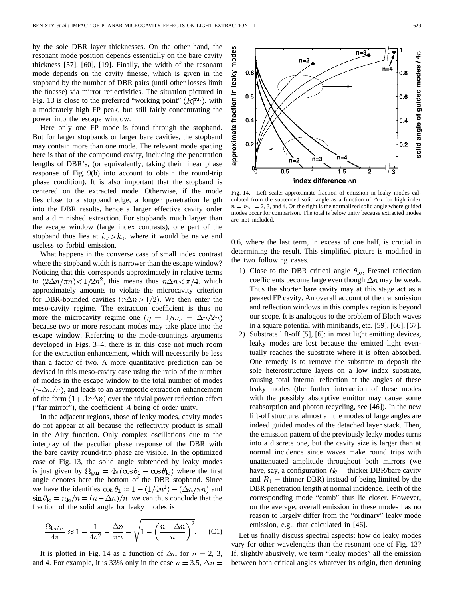by the sole DBR layer thicknesses. On the other hand, the resonant mode position depends essentially on the bare cavity thickness [57], [60], [19]. Finally, the width of the resonant mode depends on the cavity finesse, which is given in the stopband by the number of DBR pairs (until other losses limit the finesse) via mirror reflectivities. The situation pictured in Fig. 13 is close to the preferred "working point"  $(R_1^{\text{crit}})$ , with a moderately high FP peak, but still fairly concentrating the power into the escape window.

Here only one FP mode is found through the stopband. But for larger stopbands or larger bare cavities, the stopband may contain more than one mode. The relevant mode spacing here is that of the compound cavity, including the penetration lengths of DBR's, (or equivalently, taking their linear phase response of Fig. 9(b) into account to obtain the round-trip phase condition). It is also important that the stopband is centered on the extracted mode. Otherwise, if the mode lies close to a stopband edge, a longer penetration length into the DBR results, hence a larger effective cavity order and a diminished extraction. For stopbands much larger than the escape window (large index contrasts), one part of the stopband thus lies at  $k_z > k_o$ , where it would be naive and useless to forbid emission.

What happens in the converse case of small index contrast where the stopband width is narrower than the escape window? Noticing that this corresponds approximately in relative terms to  $(2\Delta n/\pi n) < 1/2n^2$ , this means thus  $n\Delta n < \pi/4$ , which approximately amounts to violate the microcavity criterion for DBR-bounded cavities  $(n\Delta n > 1/2)$ . We then enter the meso-cavity regime. The extraction coefficient is thus no more the microcavity regime one  $(\eta = 1/m_c = \Delta n/2n)$ because two or more resonant modes may take place into the escape window. Referring to the mode-countings arguments developed in Figs. 3–4, there is in this case not much room for the extraction enhancement, which will necessarily be less than a factor of two. A more quantitative prediction can be devised in this meso-cavity case using the ratio of the number of modes in the escape window to the total number of modes  $(\sim \! \Delta n/n)$ , and leads to an asymptotic extraction enhancement of the form  $(1+An\Delta n)$  over the trivial power reflection effect ("far mirror"), the coefficient  $A$  being of order unity.

In the adjacent regions, those of leaky modes, cavity modes do not appear at all because the reflectivity product is small in the Airy function. Only complex oscillations due to the interplay of the peculiar phase response of the DBR with the bare cavity round-trip phase are visible. In the optimized case of Fig. 13, the solid angle subtended by leaky modes is just given by  $\Omega_{\text{gui}} = 4\pi(\cos\theta_1 - \cos\theta_{\text{lo}})$  where the first angle denotes here the bottom of the DBR stopband. Since we have the identities  $\cos \theta_1 \approx 1 - (1/4n^2) - (\Delta n/\pi n)$  and  $\sin \theta_{\text{lo}} = n_{\text{lo}}/n = (n - \Delta n)/n$ , we can thus conclude that the fraction of the solid angle for leaky modes is

$$
\frac{\Omega_{\text{leaky}}}{4\pi} \approx 1 - \frac{1}{4n^2} - \frac{\Delta n}{\pi n} - \sqrt{1 - \left(\frac{n - \Delta n}{n}\right)^2}.
$$
 (C1)

It is plotted in Fig. 14 as a function of  $\Delta n$  for  $n = 2, 3$ , and 4. For example, it is 33% only in the case  $n = 3.5$ ,  $\Delta n =$ 

0.6, where the last term, in excess of one half, is crucial in determining the result. This simplified picture is modified in

culated from the subtended solid angle as a function of  $\Delta n$  for high index  $n = n<sub>hi</sub> = 2, 3,$  and 4. On the right is the normalized solid angle where guided modes occur for comparison. The total is below unity because extracted modes

are not included.

the two following cases.

- 1) Close to the DBR critical angle  $\theta_{\text{lo}}$ , Fresnel reflection coefficients become large even though  $\Delta n$  may be weak. Thus the shorter bare cavity may at this stage act as a peaked FP cavity. An overall account of the transmission and reflection windows in this complex region is beyond our scope. It is analogous to the problem of Bloch waves in a square potential with minibands, etc. [59], [66], [67].
- 2) Substrate lift-off [5], [6]: in most light emitting devices, leaky modes are lost because the emitted light eventually reaches the substrate where it is often absorbed. One remedy is to remove the substrate to deposit the sole heterostructure layers on a low index substrate, causing total internal reflection at the angles of these leaky modes (the further interaction of these modes with the possibly absorptive emittor may cause some reabsorption and photon recycling, see [46]). In the new lift-off structure, almost all the modes of large angles are indeed guided modes of the detached layer stack. Then, the emission pattern of the previously leaky modes turns into a discrete one, but the cavity size is larger than at normal incidence since waves make round trips with unattenuated amplitude throughout both mirrors (we have, say, a configuration  $R_2$  = thicker DBR/bare cavity and  $R_1$  = thinner DBR) instead of being limited by the DBR penetration length at normal incidence. Teeth of the corresponding mode "comb" thus lie closer. However, on the average, overall emission in these modes has no reason to largely differ from the "ordinary" leaky mode emission, e.g., that calculated in [46].

Let us finally discuss spectral aspects: how do leaky modes vary for other wavelengths than the resonant one of Fig. 13? If, slightly abusively, we term "leaky modes" all the emission between both critical angles whatever its origin, then detuning

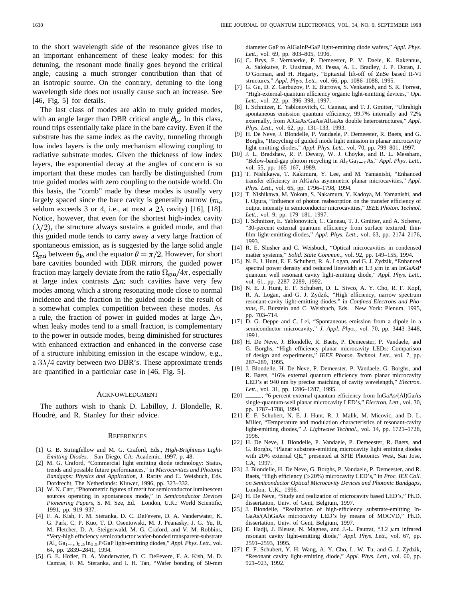to the short wavelength side of the resonance gives rise to an important enhancement of these leaky modes: for this detuning, the resonant mode finally goes beyond the critical angle, causing a much stronger contribution than that of an isotropic source. On the contrary, detuning to the long wavelength side does not usually cause such an increase. See [46, Fig. 5] for details.

The last class of modes are akin to truly guided modes, with an angle larger than DBR critical angle  $\theta_{\text{lo}}$ . In this class, round trips essentially take place in the bare cavity. Even if the substrate has the same index as the cavity, tunneling through low index layers is the only mechanism allowing coupling to radiative substrate modes. Given the thickness of low index layers, the exponential decay at the angles of concern is so important that these modes can hardly be distinguished from true guided modes with zero coupling to the outside world. On this basis, the "comb" made by these modes is usually very largely spaced since the bare cavity is generally narrow  $(m<sub>o</sub>)$ seldom exceeds 3 or 4, i.e., at most a  $2\lambda$  cavity) [16], [18]. Notice, however, that even for the shortest high-index cavity  $(\lambda/2)$ , the structure always sustains a guided mode, and that this guided mode tends to carry away a very large fraction of spontaneous emission, as is suggested by the large solid angle  $\Omega_{\rm qui}$  between  $\theta_{\rm lo}$  and the equator  $\theta = \pi/2$ . However, for short bare cavities bounded with DBR mirrors, the guided power fraction may largely deviate from the ratio  $\Omega_{\rm gui}/4\pi$ , especially at large index contrasts  $\Delta n$ : such cavities have very few modes among which a strong resonating mode close to normal incidence and the fraction in the guided mode is the result of a somewhat complex competition between these modes. As a rule, the fraction of power in guided modes at large  $\Delta n$ , when leaky modes tend to a small fraction, is complementary to the power in outside modes, being diminished for structures with enhanced extraction and enhanced in the converse case of a structure inhibiting emission in the escape window, e.g., a  $3\lambda/4$  cavity between two DBR's. These approximate trends are quantified in a particular case in [46, Fig. 5].

#### ACKNOWLEDGMENT

The authors wish to thank D. Labilloy, J. Blondelle, R. Houdré, and R. Stanley for their advice.

#### **REFERENCES**

- [1] G. B. Stringfellow and M. G. Craford, Eds., *High-Brightness Light-Emitting Diodes*. San Diego, CA: Academic, 1997, p. 48.
- [2] M. G. Craford, "Commercial light emitting diode technology: Status, trends and possible future performances," in *Microcavities and Photonic Bandgaps: Physics and Application*, J. Rarity and C. Weisbuch, Eds. Dordrecht, The Netherlands: Kluwer, 1996, pp. 323–332.
- [3] W. N. Carr, "Photometric figures of merit for semiconductor luminescent sources operating in spontaneous mode," in *Semiconductor Devices Pioneering Papers*, S. M. Sze, Ed. London, U.K.: World Scientific, 1991, pp. 919–937.
- [4] F. A. Kish, F. M. Steranka, D. C. DeFevere, D. A. Vanderwater, K. G. Park, C. P. Kuo, T. D. Osentowski, M. J. Peanasky, J. G. Yu, R. M. Fletcher, D. A. Steigerwald, M. G. Craford, and V. M. G. Craford, and V. M. Robbins, "Very-high efficiency semiconductor wafer-bonded transparent-substrate (Al<sub>x</sub>Ga<sub>1-x)</sub><sub>0.5</sub>P/GaP light-emitting diodes," *Appl. Phys. L* "Very-high efficiency semiconductor wafer-bonded transparent-substrate 64, pp. 2839–2841, 1994.
- [5] G. E. Höfler, D. A. Vanderwater, D. C. DeFevere, F. A. Kish, M. D. Camras, F. M. Steranka, and I. H. Tan, "Wafer bonding of 50-mm

diameter GaP to AlGaInP-GaP light-emitting diode wafers," *Appl. Phys. Lett.*, vol. 69, pp. 803–805, 1996.

- [6] C. Brys, F. Vermaerke, P. Demeester, P. V. Daele, K. Rakennus, A. Salokatve, P. Uusimaa, M. Pessa, A. L. Bradley, J. P. Doran, J. O'Gorman, and H. Hegarty, "Epitaxial lift-off of ZnSe based II-VI structures," *Appl. Phys. Lett.*, vol. 66, pp. 1086–1088, 1995.
- [7] G. Gu, D. Z. Garbuzov, P. E. Burrows, S. Venkatesh, and S. R. Forrest, "High-external-quantum efficiency organic light-emitting devices," *Opt. Lett.*, vol. 22, pp. 396–398, 1997.
- [8] I. Schnitzer, E. Yablonovitch, C. Caneau, and T. J. Gmitter, "Ultrahigh spontaneous emission quantum efficiency, 99.7% internally and 72% externally, from AlGaAs/GaAs/AlGaAs double heterostructures," *Appl. Phys. Lett.*, vol. 62, pp. 131–133, 1993.
- [9] H. De Neve, J. Blondelle, P. Vandaele, P. Demeester, R. Baets, and G. Borghs, "Recycling of guided mode light emission in planar microcavity light emitting diodes," *Appl. Phys. Lett.*, vol. 70, pp. 799–801, 1997.
- [10] J. L. Bradshaw, R. P. Devaty, W. J. Choyke, and R. L. Messham, Borgins, Recycling of guided mode fight emission in planar increasing<br>light emitting diodes," *Appl. Phys. Lett.*, vol. 70, pp. 799–801, 1997.<br>J. L. Bradshaw, R. P. Devaty, W. J. Choyke, and R. L. Messham,<br>"Below-band-gap vol. 55, pp. 165–167, 1989.
- [11] T. Nishikawa, T. Kakimura, Y. Lee, and M. Yamanishi, "Enhanced transfer efficiency in AlGaAs asymmetric planar microcavities," *Appl. Phys. Lett.*, vol. 65, pp. 1796–1798, 1994.
- [12] T. Nishikawa, M. Yokota, S. Nakamura, Y. Kadoya, M. Yamanishi, and I. Ogura, "Influence of photon reabsorption on the transfer efficiency of output intensity in semiconductor microcavities," *IEEE Photon. Technol. Lett.*, vol. 9, pp. 179–181, 1997.
- [13] I. Schnitzer, E. Yablonovitch, C. Caneau, T. J. Gmitter, and A. Scherer, "30-percent external quantum efficiency from surface textured, thinfilm light-emitting-diodes," *Appl. Phys. Lett.*, vol. 63, pp. 2174–2176, 1993.
- [14] R. E. Slusher and C. Weisbuch, "Optical microcavities in condensed matter systems," *Solid. State Commun.*, vol. 92, pp. 149–155, 1994.
- [15] N. E. J. Hunt, E. F. Schubert, R. A. Logan, and G. J. Zydzik, "Enhanced spectral power density and reduced linewidth at 1.3  $\mu$ m in an InGaAsP quantum well resonant cavity light-emitting diode," *Appl. Phys. Lett.*, vol. 61, pp. 2287–2289, 1992.
- [16] N. E. J. Hunt, E. F. Schubert, D. L. Sivco, A. Y. Cho, R. F. Kopf, R. A. Logan, and G. J. Zydzik, "High efficiency, narrow spectrum resonant-cavity light-emitting diodes," in *Confined Electrons and Photons*, E. Burstein and C. Weisbuch, Eds. New York: Plenum, 1995, pp. 703–714.
- [17] D. G. Deppe and C. Lei, "Spontaneous emission from a dipole in a semiconductor microcavity," *J. Appl. Phys.*, vol. 70, pp. 3443–3448, 1991.
- [18] H. De Neve, J. Blondelle, R. Baets, P. Demeester, P. Vandaele, and G. Borghs, "High efficiency planar microcavity LEDs: Comparison of design and experiments," *IEEE Photon. Technol. Lett.*, vol. 7, pp. 287–289, 1995.
- [19] J. Blondelle, H. De Neve, P. Demeester, P. Vandaele, G. Borghs, and R. Baets, "16% external quantum efficiency from planar microcavity LED's at 940 nm by precise matching of cavity wavelength," *Electron. Lett.*, vol. 31, pp. 1286–1287, 1995.
- [20] \_\_\_\_, "6-percent external quantum efficiency from InGaAs/(Al)GaAs single-quantum-well planar microcavity LED's," *Electron. Lett.*, vol. 30, pp. 1787–1788, 1994.
- [21] E. F. Schubert, N. E. J. Hunt, R. J. Malik, M. Micovic, and D. L. Miller, "Temperature and modulation characteristics of resonant-cavity light-emitting diodes," *J. Lightwave Technol*., vol. 14, pp. 1721–1728, 1996.
- [22] H. De Neve, J. Blondelle, P. Vandaele, P. Demeester, R. Baets, and G. Borghs, "Planar substrate-emitting microcavity light emitting diodes with 20% external QE," presented at SPIE Photonics West, San Jose, CA, 1997.
- [23] J. Blondelle, H. De Neve, G. Borghs, P. Vandaele, P. Demeester, and R. Baets, "High efficiency (>20%) microcavity LED's," in *Proc. IEE Coll. on Semiconductor Optical Microcavity Devices and Photonic Bandgaps*, London, U.K., 1996.
- [24] H. De Neve, "Study and realization of microcavity based LED's," Ph.D. dissertation, Univ. of Gent, Belgium, 1997.
- J. Blondelle, "Realization of high-efficiency substrate-emitting In-GaAs/(Al)GaAs microcavity LED's by means of MOCVD," Ph.D. dissertation, Univ. of Gent, Belgium, 1997.
- [26] E. Hadji, J. Bleuse, N. Magnea, and J.-L. Pautrat, "3.2  $\mu$ m infrared resonant cavity light-emitting diode," *Appl. Phys. Lett.*, vol. 67, pp. 2591–2593, 1995.
- [27] E. F. Schubert, Y. H. Wang, A. Y. Cho, L. W. Tu, and G. J. Zydzik, "Resonant cavity light-emitting diode," *Appl. Phys. Lett.*, vol. 60, pp. 921–923, 1992.